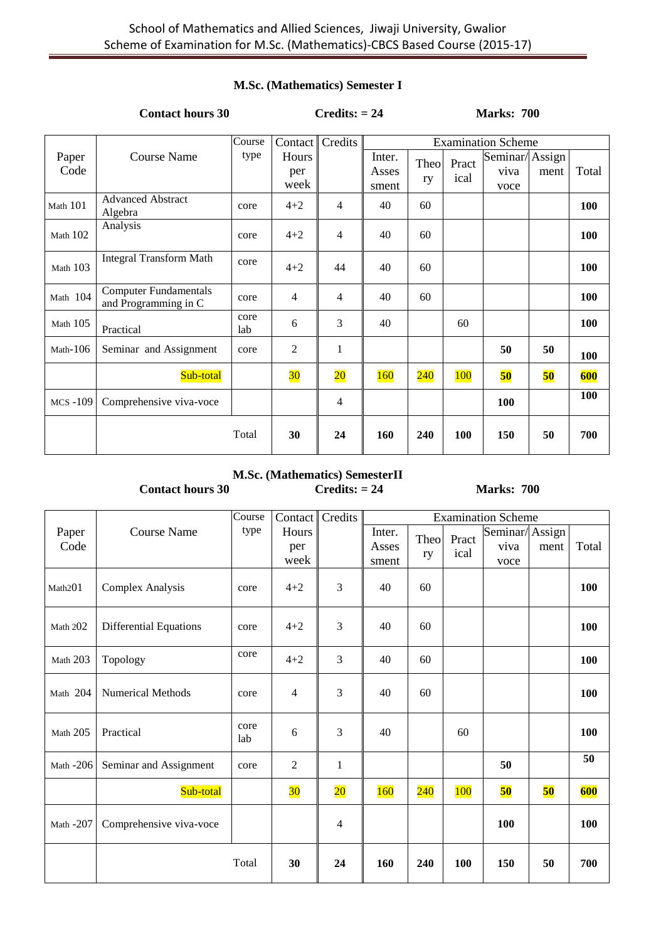#### **M.Sc. (Mathematics) Semester I**

### **Contact hours 30 Credits: = 24 Marks: 700**

|                |                                                      | Course      | Contact <sup>I</sup> | Credits         | <b>Examination Scheme</b> |            |               |                          |                |       |
|----------------|------------------------------------------------------|-------------|----------------------|-----------------|---------------------------|------------|---------------|--------------------------|----------------|-------|
| Paper<br>Code  | <b>Course Name</b>                                   | type        | Hours<br>per<br>week |                 | Inter.<br>Asses<br>sment  | Theo<br>ry | Pract<br>ical | Seminar/<br>viva<br>voce | Assign<br>ment | Total |
| Math 101       | <b>Advanced Abstract</b><br>Algebra                  | core        | $4 + 2$              | $\overline{4}$  | 40                        | 60         |               |                          |                | 100   |
| Math 102       | Analysis                                             | core        | $4 + 2$              | $\overline{4}$  | 40                        | 60         |               |                          |                | 100   |
| Math 103       | <b>Integral Transform Math</b>                       | core        | $4 + 2$              | 44              | 40                        | 60         |               |                          |                | 100   |
| Math 104       | <b>Computer Fundamentals</b><br>and Programming in C | core        | $\overline{4}$       | $\overline{4}$  | 40                        | 60         |               |                          |                | 100   |
| Math $105$     | Practical                                            | core<br>lab | 6                    | 3               | 40                        |            | 60            |                          |                | 100   |
| Math- $106$    | Seminar and Assignment                               | core        | 2                    | 1               |                           |            |               | 50                       | 50             | 100   |
|                | Sub-total                                            |             | 30                   | $\overline{20}$ | <b>160</b>                | 240        | 100           | 50                       | 50             | 600   |
| <b>MCS-109</b> | Comprehensive viva-voce                              |             |                      | $\overline{4}$  |                           |            |               | 100                      |                | 100   |
|                |                                                      | Total       | 30                   | 24              | 160                       | 240        | 100           | 150                      | 50             | 700   |

**M.Sc. (Mathematics) SemesterII Contact hours 30 Credits: = 24 Marks: 700** 

|             |                               | Course      | Contact         | Credits         | <b>Examination Scheme</b> |      |            |                |      |       |
|-------------|-------------------------------|-------------|-----------------|-----------------|---------------------------|------|------------|----------------|------|-------|
| Paper       | <b>Course Name</b>            | type        | Hours           |                 | Inter.                    | Theo | Pract      | Seminar/Assign |      |       |
| Code        |                               |             | per             |                 | Asses                     | ry   | ical       | viva           | ment | Total |
|             |                               |             | week            |                 | sment                     |      |            | voce           |      |       |
| Math201     | <b>Complex Analysis</b>       | core        | $4 + 2$         | 3               | 40                        | 60   |            |                |      | 100   |
| Math $202$  | <b>Differential Equations</b> | core        | $4 + 2$         | 3               | 40                        | 60   |            |                |      | 100   |
| Math 203    | Topology                      | core        | $4 + 2$         | 3               | 40                        | 60   |            |                |      | 100   |
| Math 204    | <b>Numerical Methods</b>      | core        | 4               | 3               | 40                        | 60   |            |                |      | 100   |
| Math 205    | Practical                     | core<br>lab | 6               | 3               | 40                        |      | 60         |                |      | 100   |
| Math $-206$ | Seminar and Assignment        | core        | 2               | $\mathbf{1}$    |                           |      |            | 50             |      | 50    |
|             | Sub-total                     |             | 30 <sub>o</sub> | $\overline{20}$ | <b>160</b>                | 240  | <b>100</b> | 50             | 50   | 600   |
| Math $-207$ | Comprehensive viva-voce       |             |                 | 4               |                           |      |            | <b>100</b>     |      | 100   |
|             |                               | Total       | 30              | 24              | 160                       | 240  | 100        | 150            | 50   | 700   |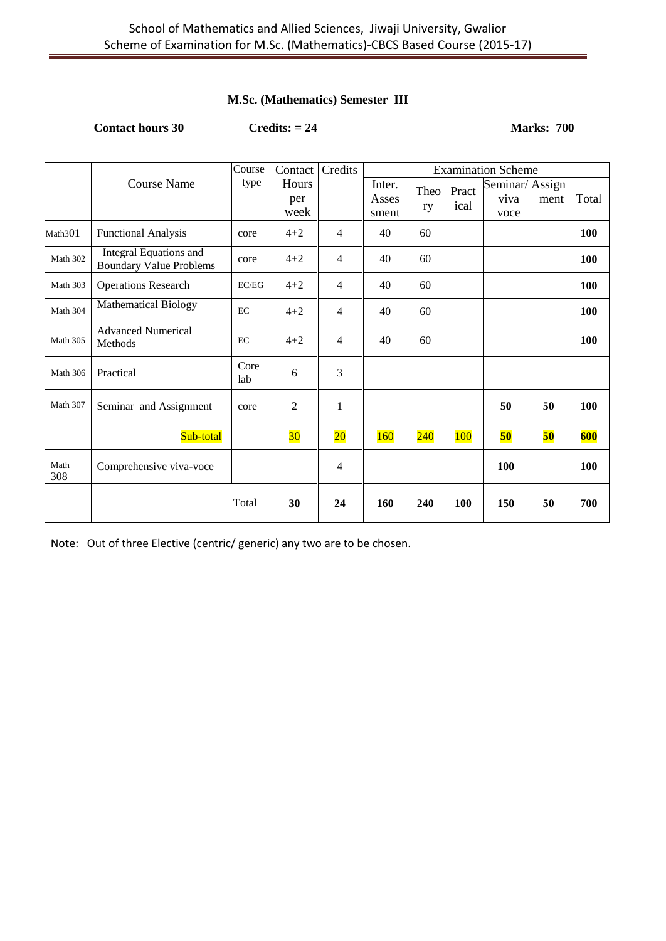## **M.Sc. (Mathematics) Semester III**

**Contact hours 30 Credits: = 24 Marks: 700** 

|             |                                                                 | Course      | Contact                     | Credits         | <b>Examination Scheme</b> |            |               |                                |      |       |
|-------------|-----------------------------------------------------------------|-------------|-----------------------------|-----------------|---------------------------|------------|---------------|--------------------------------|------|-------|
|             | <b>Course Name</b>                                              | type        | <b>Hours</b><br>per<br>week |                 | Inter.<br>Asses<br>sment  | Theo<br>ry | Pract<br>ical | Seminar/Assign<br>viva<br>voce | ment | Total |
| Math301     | <b>Functional Analysis</b>                                      | core        | $4 + 2$                     | 4               | 40                        | 60         |               |                                |      | 100   |
| Math 302    | <b>Integral Equations and</b><br><b>Boundary Value Problems</b> | core        | $4 + 2$                     | 4               | 40                        | 60         |               |                                |      | 100   |
| Math 303    | <b>Operations Research</b>                                      | EC/EG       | $4 + 2$                     | 4               | 40                        | 60         |               |                                |      | 100   |
| Math 304    | <b>Mathematical Biology</b>                                     | EC          | $4 + 2$                     | 4               | 40                        | 60         |               |                                |      | 100   |
| Math 305    | <b>Advanced Numerical</b><br>Methods                            | EC          | $4 + 2$                     | 4               | 40                        | 60         |               |                                |      | 100   |
| Math 306    | Practical                                                       | Core<br>lab | 6                           | 3               |                           |            |               |                                |      |       |
| Math 307    | Seminar and Assignment                                          | core        | $\overline{c}$              | $\mathbf{1}$    |                           |            |               | 50                             | 50   | 100   |
|             | Sub-total                                                       |             | 30                          | $\overline{20}$ | <b>160</b>                | 240        | <b>100</b>    | 50                             | 50   | 600   |
| Math<br>308 | Comprehensive viva-voce                                         |             |                             | 4               |                           |            |               | 100                            |      | 100   |
|             |                                                                 | Total       | 30                          | 24              | 160                       | 240        | 100           | 150                            | 50   | 700   |

Note: Out of three Elective (centric/ generic) any two are to be chosen.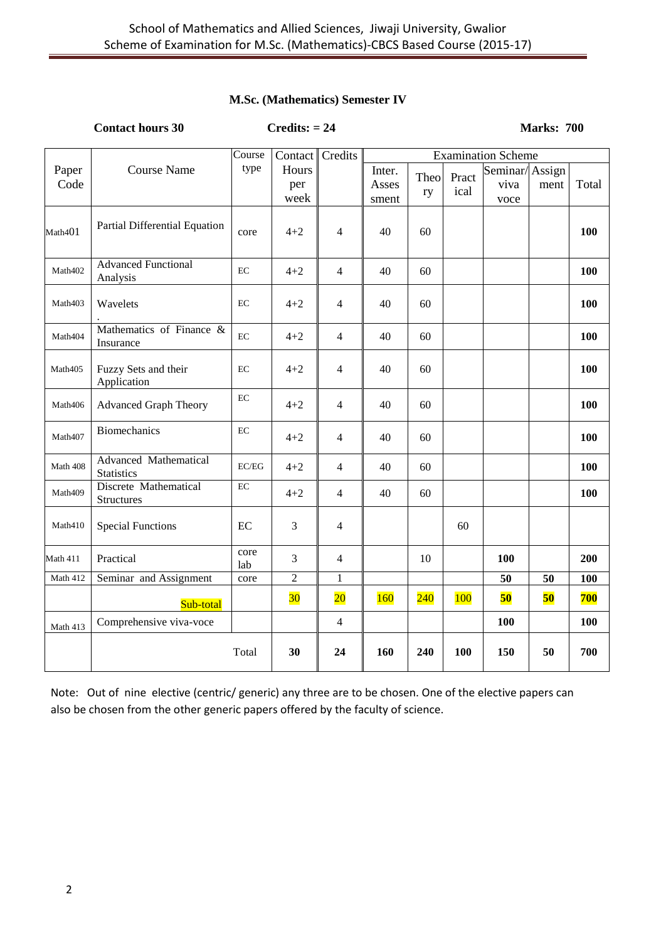#### **M.Sc. (Mathematics) Semester IV**

|               | <b>Contact hours 30</b>                           |                                      | $Credits: = 24$                 |                          |                          | <b>Marks: 700</b> |               |                                                             |      |            |
|---------------|---------------------------------------------------|--------------------------------------|---------------------------------|--------------------------|--------------------------|-------------------|---------------|-------------------------------------------------------------|------|------------|
| Paper<br>Code | <b>Course Name</b>                                | $\overline{\mathrm{Course}}$<br>type | Contact<br>Hours<br>per<br>week | Credits                  | Inter.<br>Asses<br>sment | Theo<br>ry        | Pract<br>ical | <b>Examination Scheme</b><br>Seminar/Assign<br>viva<br>voce | ment | Total      |
| Math401       | Partial Differential Equation                     | core                                 | $4 + 2$                         | 4                        | 40                       | 60                |               |                                                             |      | 100        |
| Math402       | <b>Advanced Functional</b><br>Analysis            | EC                                   | $4 + 2$                         | 4                        | 40                       | 60                |               |                                                             |      | 100        |
| Math403       | Wavelets                                          | EC                                   | $4 + 2$                         | 4                        | 40                       | 60                |               |                                                             |      | 100        |
| Math404       | Mathematics of Finance &<br>Insurance             | EC                                   | $4 + 2$                         | $\overline{4}$           | 40                       | 60                |               |                                                             |      | 100        |
| Math405       | Fuzzy Sets and their<br>Application               | EC                                   | $4 + 2$                         | 4                        | 40                       | 60                |               |                                                             |      | 100        |
| Math406       | <b>Advanced Graph Theory</b>                      | EC                                   | $4 + 2$                         | $\overline{\mathcal{L}}$ | 40                       | 60                |               |                                                             |      | <b>100</b> |
| Math407       | <b>Biomechanics</b>                               | EC                                   | $4 + 2$                         | 4                        | 40                       | 60                |               |                                                             |      | 100        |
| Math 408      | <b>Advanced Mathematical</b><br><b>Statistics</b> | EC/EG                                | $4 + 2$                         | $\overline{4}$           | 40                       | 60                |               |                                                             |      | 100        |
| Math409       | <b>Discrete Mathematical</b><br><b>Structures</b> | $\rm EC$                             | $4 + 2$                         | $\overline{4}$           | 40                       | 60                |               |                                                             |      | 100        |
| Math410       | <b>Special Functions</b>                          | EC                                   | 3                               | 4                        |                          |                   | 60            |                                                             |      |            |
| Math 411      | Practical                                         | core<br>lab                          | 3                               | $\overline{4}$           |                          | 10                |               | 100                                                         |      | 200        |
| Math 412      | Seminar and Assignment                            | core                                 | $\overline{c}$                  | 1                        |                          |                   |               | $\overline{50}$                                             | 50   | <b>100</b> |
|               | Sub-total                                         |                                      | 30 <sub>o</sub>                 | $\overline{20}$          | <b>160</b>               | 240               | 100           | 50                                                          | 50   | 700        |
| Math 413      | Comprehensive viva-voce                           |                                      |                                 | $\overline{4}$           |                          |                   |               | 100                                                         |      | 100        |
|               |                                                   | Total                                | 30                              | 24                       | 160                      | 240               | 100           | 150                                                         | 50   | 700        |

Note: Out of nine elective (centric/ generic) any three are to be chosen. One of the elective papers can also be chosen from the other generic papers offered by the faculty of science.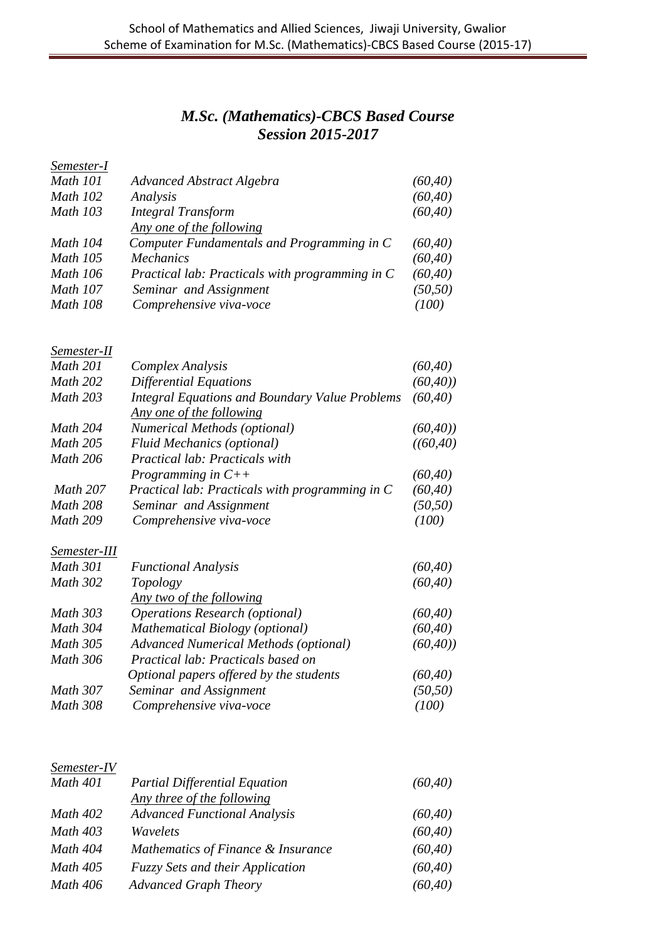## *M.Sc. (Mathematics)-CBCS Based Course Session 2015-2017*

| Semester-I      |                                                 |          |
|-----------------|-------------------------------------------------|----------|
| <b>Math 101</b> | Advanced Abstract Algebra                       | (60, 40) |
| <b>Math 102</b> | Analysis                                        | (60, 40) |
| <b>Math 103</b> | <b>Integral Transform</b>                       | (60, 40) |
|                 | Any one of the following                        |          |
| Math 104        | Computer Fundamentals and Programming in C      | (60, 40) |
| <b>Math 105</b> | <i>Mechanics</i>                                | (60, 40) |
| <b>Math 106</b> | Practical lab: Practicals with programming in C | (60, 40) |
| <b>Math 107</b> | Seminar and Assignment                          | (50, 50) |
| <b>Math 108</b> | Comprehensive viva-voce                         | (100)    |
|                 |                                                 |          |

## *Semester-II*

| Math 201 | Complex Analysis                                      | (60, 40)  |
|----------|-------------------------------------------------------|-----------|
| Math 202 | Differential Equations                                | (60, 40)  |
| Math 203 | <b>Integral Equations and Boundary Value Problems</b> | (60, 40)  |
|          | Any one of the following                              |           |
| Math 204 | <b>Numerical Methods (optional)</b>                   | (60, 40)  |
| Math 205 | <b>Fluid Mechanics (optional)</b>                     | ((60, 40) |
| Math 206 | Practical lab: Practicals with                        |           |
|          | Programming in $C++$                                  | (60, 40)  |
| Math 207 | Practical lab: Practicals with programming in C       | (60, 40)  |
| Math 208 | Seminar and Assignment                                | (50, 50)  |
| Math 209 | Comprehensive viva-voce                               | (100)     |

## *Semester-III*

| <b>Math 301</b> | <b>Functional Analysis</b>                   | (60, 40) |
|-----------------|----------------------------------------------|----------|
| <b>Math 302</b> | Topology                                     | (60, 40) |
|                 | Any two of the following                     |          |
| Math 303        | <b>Operations Research (optional)</b>        | (60, 40) |
| <b>Math 304</b> | <b>Mathematical Biology (optional)</b>       | (60, 40) |
| <b>Math 305</b> | <b>Advanced Numerical Methods (optional)</b> | (60, 40) |
| <b>Math 306</b> | Practical lab: Practicals based on           |          |
|                 | Optional papers offered by the students      | (60, 40) |
| <b>Math 307</b> | Seminar and Assignment                       | (50, 50) |
| <b>Math 308</b> | Comprehensive viva-voce                      | (100)    |

#### *Semester-IV*

| <b>Math 401</b> | <b>Partial Differential Equation</b>    | (60, 40) |
|-----------------|-----------------------------------------|----------|
|                 | Any three of the following              |          |
| <b>Math 402</b> | <b>Advanced Functional Analysis</b>     | (60, 40) |
| <b>Math 403</b> | Wavelets                                | (60, 40) |
| Math 404        | Mathematics of Finance & Insurance      | (60, 40) |
| <b>Math 405</b> | <b>Fuzzy Sets and their Application</b> | (60, 40) |
| Math 406        | <b>Advanced Graph Theory</b>            | (60, 40) |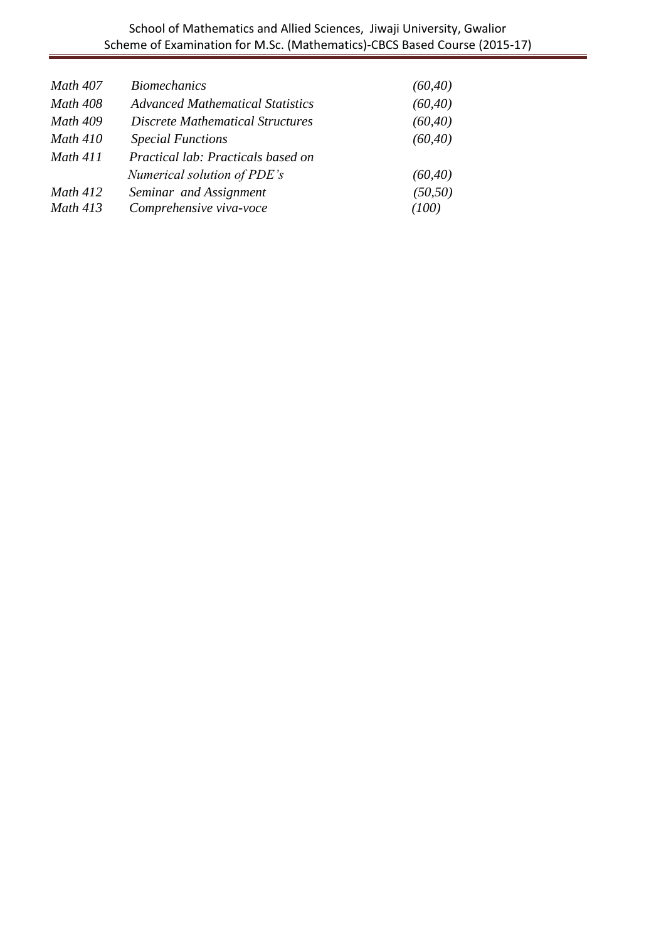| Math 407        | <b>Biomechanics</b>                     | (60, 40) |
|-----------------|-----------------------------------------|----------|
| <b>Math 408</b> | <b>Advanced Mathematical Statistics</b> | (60, 40) |
| Math 409        | <b>Discrete Mathematical Structures</b> | (60, 40) |
| <b>Math 410</b> | <b>Special Functions</b>                | (60, 40) |
| <b>Math 411</b> | Practical lab: Practicals based on      |          |
|                 | Numerical solution of PDE's             | (60, 40) |
| <b>Math 412</b> | Seminar and Assignment                  | (50, 50) |
| <b>Math 413</b> | Comprehensive viva-voce                 | (100)    |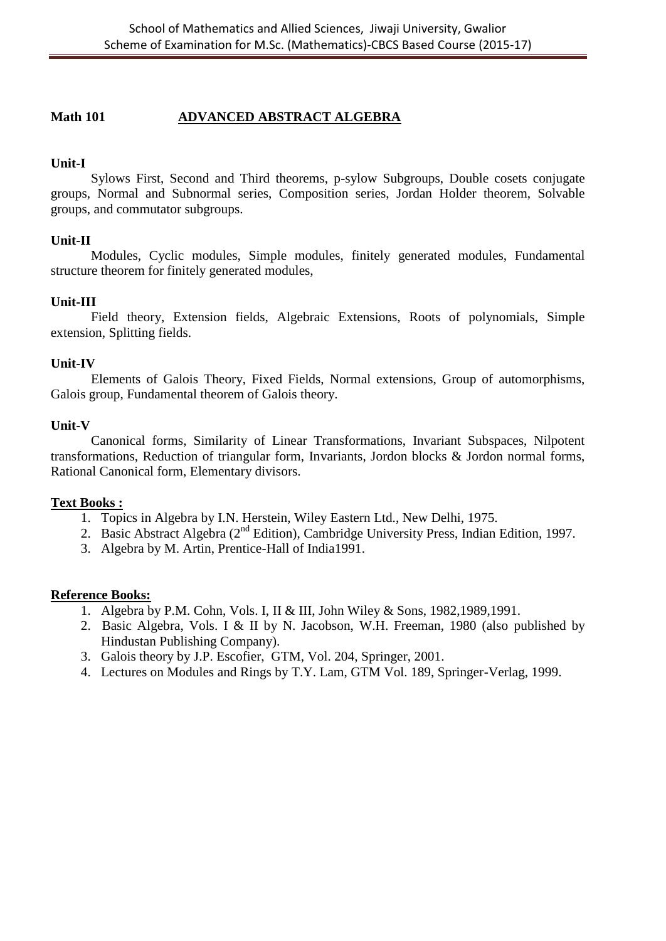## **Math 101 ADVANCED ABSTRACT ALGEBRA**

## **Unit-I**

Sylows First, Second and Third theorems, p-sylow Subgroups, Double cosets conjugate groups, Normal and Subnormal series, Composition series, Jordan Holder theorem, Solvable groups, and commutator subgroups.

## **Unit-II**

Modules, Cyclic modules, Simple modules, finitely generated modules, Fundamental structure theorem for finitely generated modules,

## **Unit-III**

Field theory, Extension fields, Algebraic Extensions, Roots of polynomials, Simple extension, Splitting fields.

#### **Unit-IV**

 Elements of Galois Theory, Fixed Fields, Normal extensions, Group of automorphisms, Galois group, Fundamental theorem of Galois theory.

## **Unit-V**

Canonical forms, Similarity of Linear Transformations, Invariant Subspaces, Nilpotent transformations, Reduction of triangular form, Invariants, Jordon blocks & Jordon normal forms, Rational Canonical form, Elementary divisors.

#### **Text Books :**

- 1. Topics in Algebra by I.N. Herstein, Wiley Eastern Ltd., New Delhi, 1975.
- 2. Basic Abstract Algebra (2<sup>nd</sup> Edition), Cambridge University Press, Indian Edition, 1997.
- 3. Algebra by M. Artin, Prentice-Hall of India1991.

- 1. Algebra by P.M. Cohn, Vols. I, II & III, John Wiley & Sons, 1982,1989,1991.
- 2. Basic Algebra, Vols. I & II by N. Jacobson, W.H. Freeman, 1980 (also published by Hindustan Publishing Company).
- 3. Galois theory by J.P. Escofier, GTM, Vol. 204, Springer, 2001.
- 4. Lectures on Modules and Rings by T.Y. Lam, GTM Vol. 189, Springer-Verlag, 1999.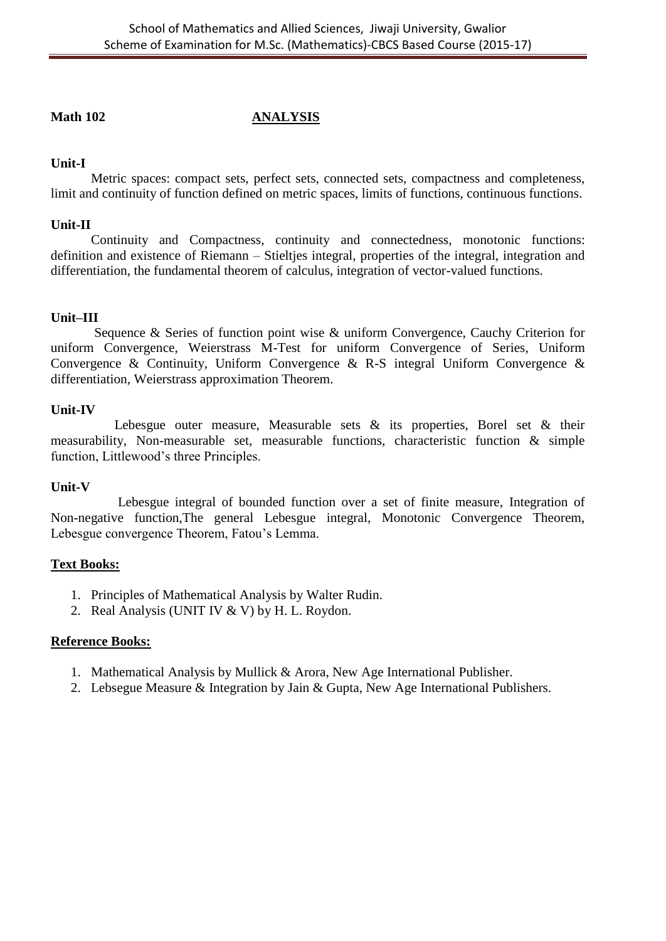## **Math 102 ANALYSIS**

## **Unit-I**

Metric spaces: compact sets, perfect sets, connected sets, compactness and completeness, limit and continuity of function defined on metric spaces, limits of functions, continuous functions.

## **Unit-II**

Continuity and Compactness, continuity and connectedness, monotonic functions: definition and existence of Riemann – Stieltjes integral, properties of the integral, integration and differentiation, the fundamental theorem of calculus, integration of vector-valued functions.

## **Unit–III**

Sequence & Series of function point wise & uniform Convergence, Cauchy Criterion for uniform Convergence, Weierstrass M-Test for uniform Convergence of Series, Uniform Convergence & Continuity, Uniform Convergence & R-S integral Uniform Convergence & differentiation, Weierstrass approximation Theorem.

## **Unit-IV**

Lebesgue outer measure, Measurable sets & its properties, Borel set & their measurability, Non-measurable set, measurable functions, characteristic function & simple function, Littlewood's three Principles.

#### **Unit-V**

 Lebesgue integral of bounded function over a set of finite measure, Integration of Non-negative function,The general Lebesgue integral, Monotonic Convergence Theorem, Lebesgue convergence Theorem, Fatou's Lemma.

#### **Text Books:**

- 1. Principles of Mathematical Analysis by Walter Rudin.
- 2. Real Analysis (UNIT IV & V) by H. L. Roydon.

- 1. Mathematical Analysis by Mullick & Arora, New Age International Publisher.
- 2. Lebsegue Measure & Integration by Jain & Gupta, New Age International Publishers.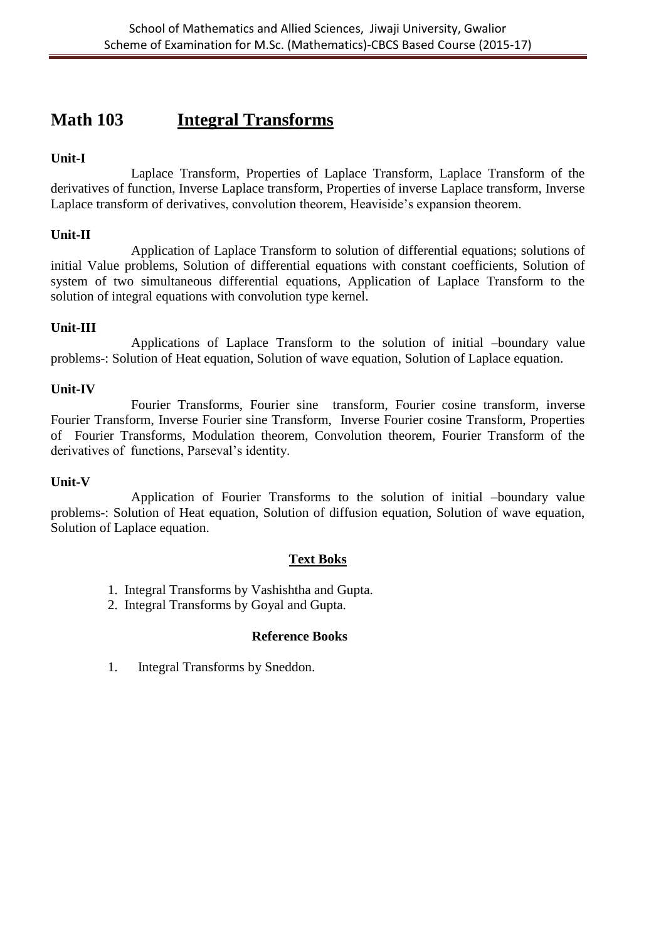# **Math 103 Integral Transforms**

## **Unit-I**

Laplace Transform, Properties of Laplace Transform, Laplace Transform of the derivatives of function, Inverse Laplace transform, Properties of inverse Laplace transform, Inverse Laplace transform of derivatives, convolution theorem, Heaviside's expansion theorem.

## **Unit-II**

Application of Laplace Transform to solution of differential equations; solutions of initial Value problems, Solution of differential equations with constant coefficients, Solution of system of two simultaneous differential equations, Application of Laplace Transform to the solution of integral equations with convolution type kernel.

## **Unit-III**

Applications of Laplace Transform to the solution of initial –boundary value problems-: Solution of Heat equation, Solution of wave equation, Solution of Laplace equation.

## **Unit-IV**

Fourier Transforms, Fourier sine transform, Fourier cosine transform, inverse Fourier Transform, Inverse Fourier sine Transform, Inverse Fourier cosine Transform, Properties of Fourier Transforms, Modulation theorem, Convolution theorem, Fourier Transform of the derivatives of functions, Parseval's identity.

#### **Unit-V**

Application of Fourier Transforms to the solution of initial –boundary value problems-: Solution of Heat equation, Solution of diffusion equation, Solution of wave equation, Solution of Laplace equation.

#### **Text Boks**

- 1. Integral Transforms by Vashishtha and Gupta.
- 2. Integral Transforms by Goyal and Gupta.

## **Reference Books**

1. Integral Transforms by Sneddon.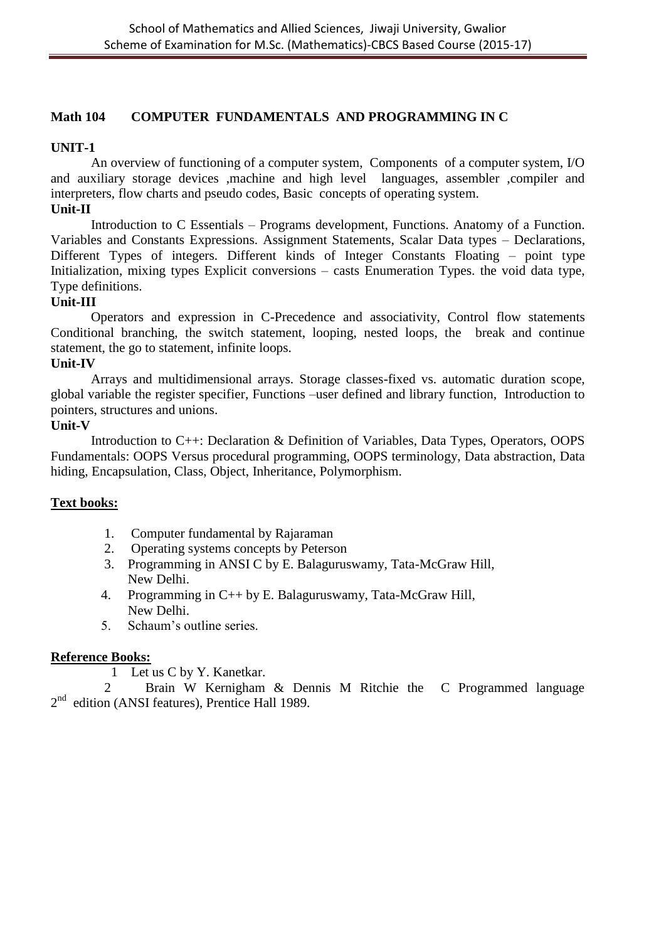## **Math 104 COMPUTER FUNDAMENTALS AND PROGRAMMING IN C**

## **UNIT-1**

An overview of functioning of a computer system, Components of a computer system, I/O and auxiliary storage devices ,machine and high level languages, assembler ,compiler and interpreters, flow charts and pseudo codes, Basic concepts of operating system.

## **Unit-II**

Introduction to C Essentials – Programs development, Functions. Anatomy of a Function. Variables and Constants Expressions. Assignment Statements, Scalar Data types – Declarations, Different Types of integers. Different kinds of Integer Constants Floating – point type Initialization, mixing types Explicit conversions – casts Enumeration Types. the void data type, Type definitions.

#### **Unit-III**

Operators and expression in C-Precedence and associativity, Control flow statements Conditional branching, the switch statement, looping, nested loops, the break and continue statement, the go to statement, infinite loops.

#### **Unit-IV**

Arrays and multidimensional arrays. Storage classes-fixed vs. automatic duration scope, global variable the register specifier, Functions –user defined and library function, Introduction to pointers, structures and unions.

#### **Unit-V**

Introduction to C++: Declaration & Definition of Variables, Data Types, Operators, OOPS Fundamentals: OOPS Versus procedural programming, OOPS terminology, Data abstraction, Data hiding, Encapsulation, Class, Object, Inheritance, Polymorphism.

## **Text books:**

- 1. Computer fundamental by Rajaraman
- 2. Operating systems concepts by Peterson
- 3. Programming in ANSI C by E. Balaguruswamy, Tata-McGraw Hill, New Delhi.
- 4. Programming in C++ by E. Balaguruswamy, Tata-McGraw Hill, New Delhi.
- 5. Schaum's outline series.

#### **Reference Books:**

1 Let us C by Y. Kanetkar.

 2 Brain W Kernigham & Dennis M Ritchie the C Programmed language 2<sup>nd</sup> edition (ANSI features), Prentice Hall 1989.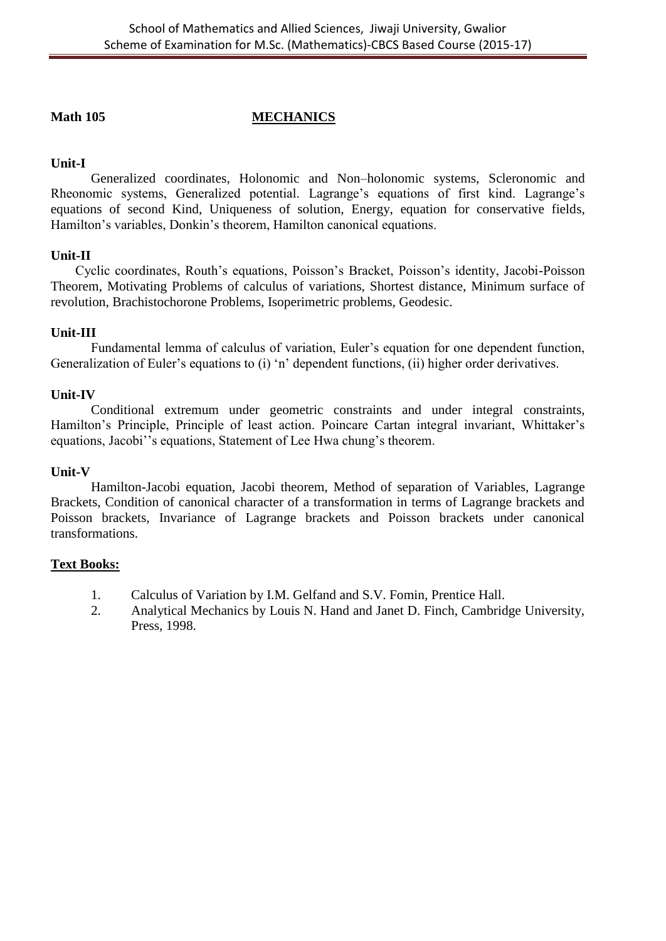## **Math 105 MECHANICS**

## **Unit-I**

Generalized coordinates, Holonomic and Non–holonomic systems, Scleronomic and Rheonomic systems, Generalized potential. Lagrange's equations of first kind. Lagrange's equations of second Kind, Uniqueness of solution, Energy, equation for conservative fields, Hamilton's variables, Donkin's theorem, Hamilton canonical equations.

## **Unit-II**

Cyclic coordinates, Routh's equations, Poisson's Bracket, Poisson's identity, Jacobi-Poisson Theorem, Motivating Problems of calculus of variations, Shortest distance, Minimum surface of revolution, Brachistochorone Problems, Isoperimetric problems, Geodesic.

## **Unit-III**

Fundamental lemma of calculus of variation, Euler's equation for one dependent function, Generalization of Euler's equations to (i) 'n' dependent functions, (ii) higher order derivatives.

## **Unit-IV**

Conditional extremum under geometric constraints and under integral constraints, Hamilton's Principle, Principle of least action. Poincare Cartan integral invariant, Whittaker's equations, Jacobi''s equations, Statement of Lee Hwa chung's theorem.

## **Unit-V**

Hamilton-Jacobi equation, Jacobi theorem, Method of separation of Variables, Lagrange Brackets, Condition of canonical character of a transformation in terms of Lagrange brackets and Poisson brackets, Invariance of Lagrange brackets and Poisson brackets under canonical transformations.

## **Text Books:**

- 1. Calculus of Variation by I.M. Gelfand and S.V. Fomin, Prentice Hall.
- 2. Analytical Mechanics by Louis N. Hand and Janet D. Finch, Cambridge University, Press, 1998.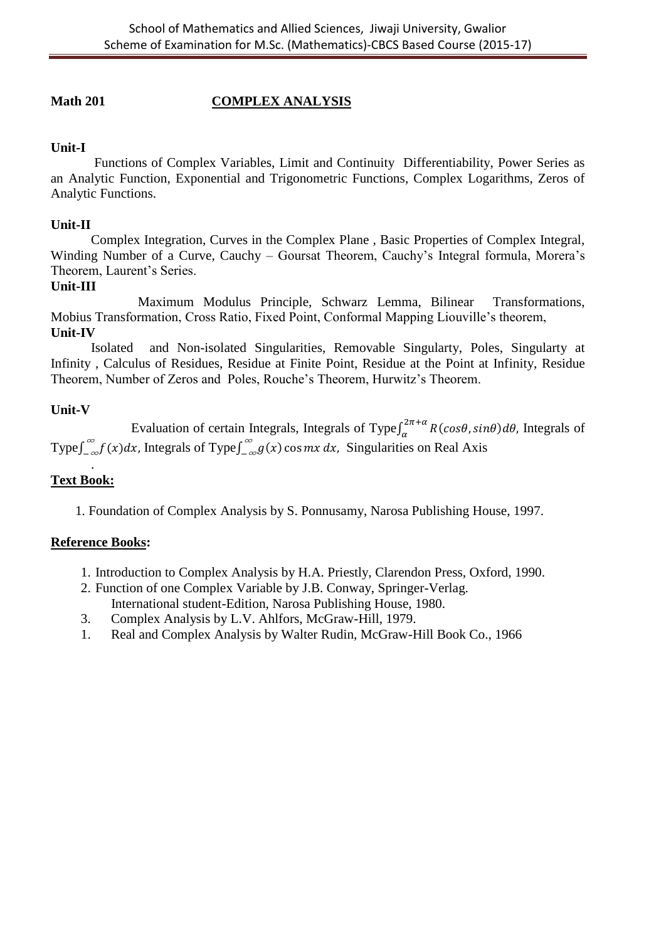## **Math 201 COMPLEX ANALYSIS**

## **Unit-I**

Functions of Complex Variables, Limit and Continuity Differentiability, Power Series as an Analytic Function, Exponential and Trigonometric Functions, Complex Logarithms, Zeros of Analytic Functions.

## **Unit-II**

Complex Integration, Curves in the Complex Plane , Basic Properties of Complex Integral, Winding Number of a Curve, Cauchy – Goursat Theorem, Cauchy's Integral formula, Morera's Theorem, Laurent's Series.

## **Unit-III**

 Maximum Modulus Principle, Schwarz Lemma, Bilinear Transformations, Mobius Transformation, Cross Ratio, Fixed Point, Conformal Mapping Liouville's theorem, **Unit-IV** 

Isolated and Non-isolated Singularities, Removable Singularty, Poles, Singularty at Infinity , Calculus of Residues, Residue at Finite Point, Residue at the Point at Infinity, Residue Theorem, Number of Zeros and Poles, Rouche's Theorem, Hurwitz's Theorem.

## **Unit-V**

Evaluation of certain Integrals, Integrals of Type $\int_{\alpha}^{2}$  $\int_{\alpha}^{2n+u} R(cos\theta, sin\theta) d\theta$ , Integrals of Type  $\int_{-\infty}^{\infty} f(x) dx$ , Integrals of Type  $\int_{-\infty}^{\infty} g(x) \cos mx dx$ , Singularities on Real Axis

## **Text Book:**

.

1. Foundation of Complex Analysis by S. Ponnusamy, Narosa Publishing House, 1997.

- 1. Introduction to Complex Analysis by H.A. Priestly, Clarendon Press, Oxford, 1990.
- 2. Function of one Complex Variable by J.B. Conway, Springer-Verlag. International student-Edition, Narosa Publishing House, 1980.
- 3. Complex Analysis by L.V. Ahlfors, McGraw-Hill, 1979.
- 1. Real and Complex Analysis by Walter Rudin, McGraw-Hill Book Co., 1966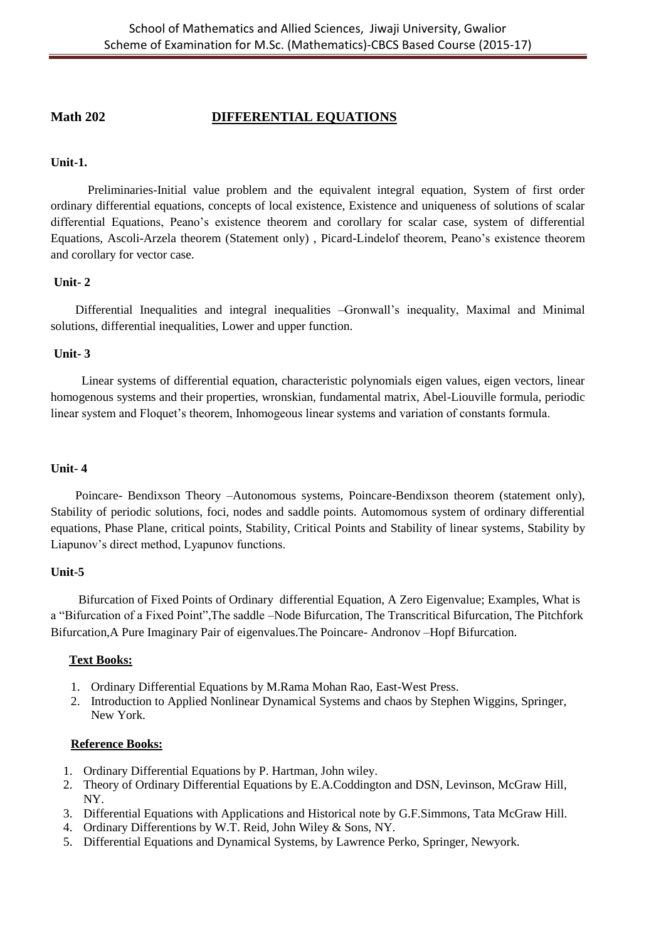## **Math 202 DIFFERENTIAL EQUATIONS**

#### **Unit-1.**

 Preliminaries-Initial value problem and the equivalent integral equation, System of first order ordinary differential equations, concepts of local existence, Existence and uniqueness of solutions of scalar differential Equations, Peano's existence theorem and corollary for scalar case, system of differential Equations, Ascoli-Arzela theorem (Statement only) , Picard-Lindelof theorem, Peano's existence theorem and corollary for vector case.

#### **Unit- 2**

 Differential Inequalities and integral inequalities –Gronwall's inequality, Maximal and Minimal solutions, differential inequalities, Lower and upper function.

#### **Unit- 3**

 Linear systems of differential equation, characteristic polynomials eigen values, eigen vectors, linear homogenous systems and their properties, wronskian, fundamental matrix, Abel-Liouville formula, periodic linear system and Floquet's theorem, Inhomogeous linear systems and variation of constants formula.

#### **Unit- 4**

 Poincare- Bendixson Theory –Autonomous systems, Poincare-Bendixson theorem (statement only), Stability of periodic solutions, foci, nodes and saddle points. Automomous system of ordinary differential equations, Phase Plane, critical points, Stability, Critical Points and Stability of linear systems, Stability by Liapunov's direct method, Lyapunov functions.

#### **Unit-5**

 Bifurcation of Fixed Points of Ordinary differential Equation, A Zero Eigenvalue; Examples, What is a "Bifurcation of a Fixed Point",The saddle –Node Bifurcation, The Transcritical Bifurcation, The Pitchfork Bifurcation,A Pure Imaginary Pair of eigenvalues.The Poincare- Andronov –Hopf Bifurcation.

#### **Text Books:**

- 1. Ordinary Differential Equations by M.Rama Mohan Rao, East-West Press.
- 2. Introduction to Applied Nonlinear Dynamical Systems and chaos by Stephen Wiggins, Springer, New York.

- 1. Ordinary Differential Equations by P. Hartman, John wiley.
- 2. Theory of Ordinary Differential Equations by E.A.Coddington and DSN, Levinson, McGraw Hill, NY.
- 3. Differential Equations with Applications and Historical note by G.F.Simmons, Tata McGraw Hill.
- 4. Ordinary Differentions by W.T. Reid, John Wiley & Sons, NY.
- 5. Differential Equations and Dynamical Systems, by Lawrence Perko, Springer, Newyork.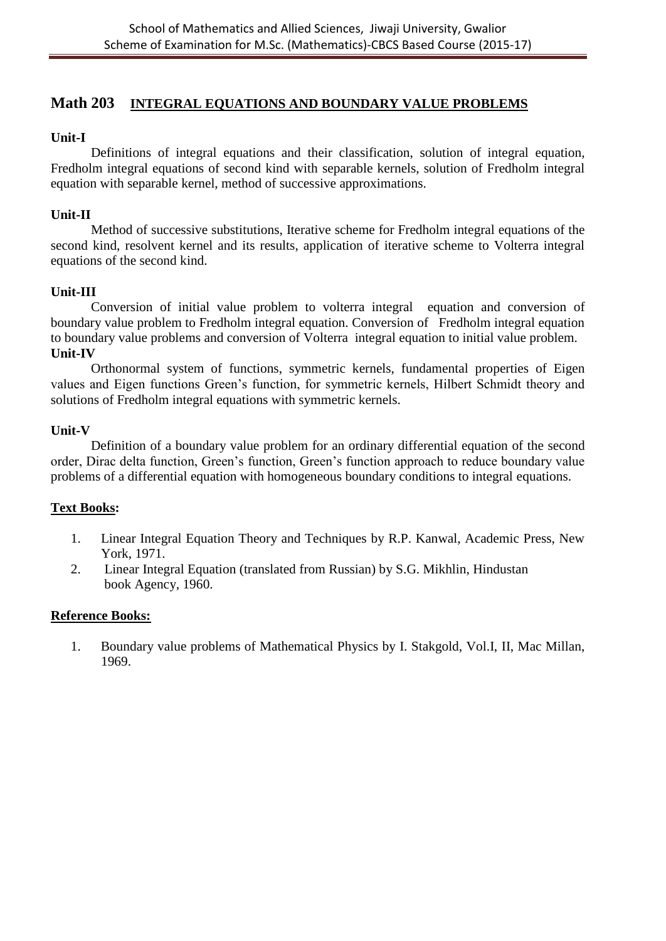## **Math 203 INTEGRAL EQUATIONS AND BOUNDARY VALUE PROBLEMS**

## **Unit-I**

Definitions of integral equations and their classification, solution of integral equation, Fredholm integral equations of second kind with separable kernels, solution of Fredholm integral equation with separable kernel, method of successive approximations.

## **Unit-II**

Method of successive substitutions, Iterative scheme for Fredholm integral equations of the second kind, resolvent kernel and its results, application of iterative scheme to Volterra integral equations of the second kind.

## **Unit-III**

Conversion of initial value problem to volterra integral equation and conversion of boundary value problem to Fredholm integral equation. Conversion of Fredholm integral equation to boundary value problems and conversion of Volterra integral equation to initial value problem. **Unit-IV**

Orthonormal system of functions, symmetric kernels, fundamental properties of Eigen values and Eigen functions Green's function, for symmetric kernels, Hilbert Schmidt theory and solutions of Fredholm integral equations with symmetric kernels.

#### **Unit-V**

Definition of a boundary value problem for an ordinary differential equation of the second order, Dirac delta function, Green's function, Green's function approach to reduce boundary value problems of a differential equation with homogeneous boundary conditions to integral equations.

## **Text Books:**

- 1. Linear Integral Equation Theory and Techniques by R.P. Kanwal, Academic Press, New York, 1971.
- 2. Linear Integral Equation (translated from Russian) by S.G. Mikhlin, Hindustan book Agency, 1960.

#### **Reference Books:**

1. Boundary value problems of Mathematical Physics by I. Stakgold, Vol.I, II, Mac Millan, 1969.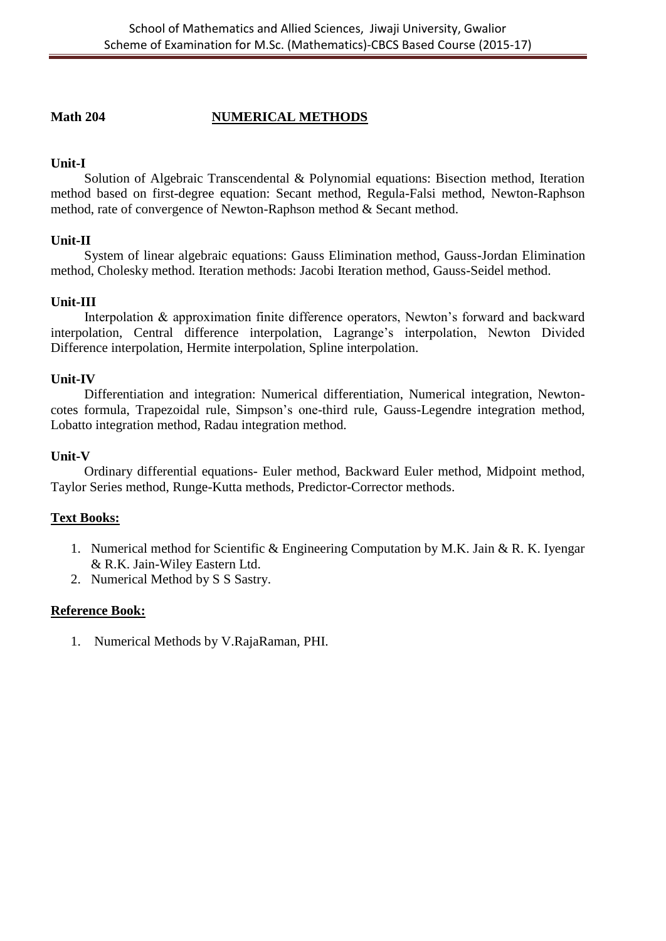## **Math 204 NUMERICAL METHODS**

## **Unit-I**

Solution of Algebraic Transcendental & Polynomial equations: Bisection method, Iteration method based on first-degree equation: Secant method, Regula-Falsi method, Newton-Raphson method, rate of convergence of Newton-Raphson method & Secant method.

## **Unit-II**

System of linear algebraic equations: Gauss Elimination method, Gauss-Jordan Elimination method, Cholesky method. Iteration methods: Jacobi Iteration method, Gauss-Seidel method.

## **Unit-III**

 Interpolation & approximation finite difference operators, Newton's forward and backward interpolation, Central difference interpolation, Lagrange's interpolation, Newton Divided Difference interpolation, Hermite interpolation, Spline interpolation.

## **Unit-IV**

 Differentiation and integration: Numerical differentiation, Numerical integration, Newtoncotes formula, Trapezoidal rule, Simpson's one-third rule, Gauss-Legendre integration method, Lobatto integration method, Radau integration method.

#### **Unit-V**

 Ordinary differential equations- Euler method, Backward Euler method, Midpoint method, Taylor Series method, Runge-Kutta methods, Predictor-Corrector methods.

## **Text Books:**

- 1. Numerical method for Scientific & Engineering Computation by M.K. Jain & R. K. Iyengar & R.K. Jain-Wiley Eastern Ltd.
- 2. Numerical Method by S S Sastry.

## **Reference Book:**

1. Numerical Methods by V.RajaRaman, PHI.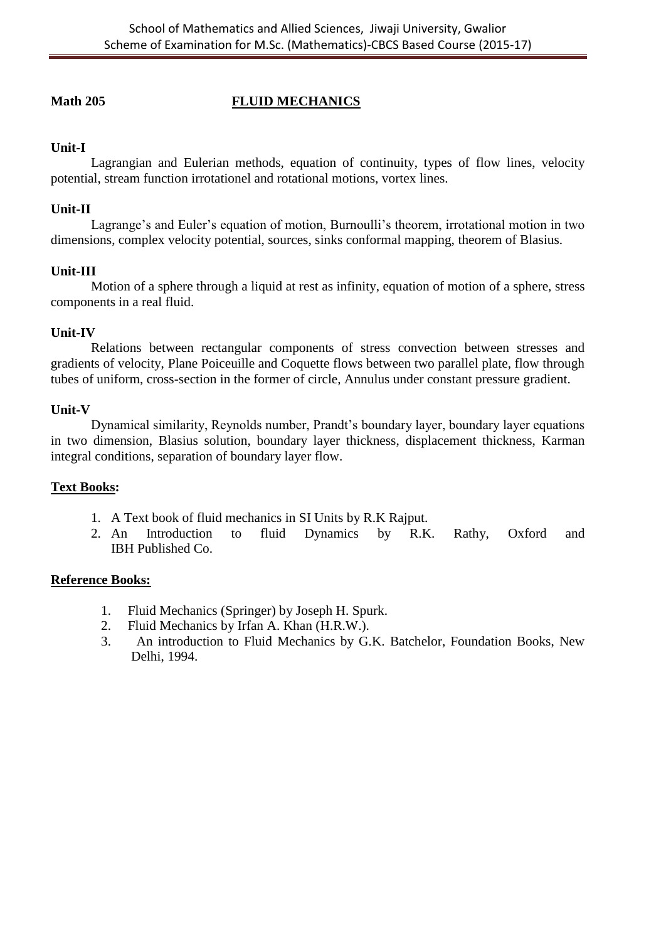## **Math 205 FLUID MECHANICS**

## **Unit-I**

Lagrangian and Eulerian methods, equation of continuity, types of flow lines, velocity potential, stream function irrotationel and rotational motions, vortex lines.

## **Unit-II**

Lagrange's and Euler's equation of motion, Burnoulli's theorem, irrotational motion in two dimensions, complex velocity potential, sources, sinks conformal mapping, theorem of Blasius.

## **Unit-III**

Motion of a sphere through a liquid at rest as infinity, equation of motion of a sphere, stress components in a real fluid.

## **Unit-IV**

Relations between rectangular components of stress convection between stresses and gradients of velocity, Plane Poiceuille and Coquette flows between two parallel plate, flow through tubes of uniform, cross-section in the former of circle, Annulus under constant pressure gradient.

## **Unit-V**

Dynamical similarity, Reynolds number, Prandt's boundary layer, boundary layer equations in two dimension, Blasius solution, boundary layer thickness, displacement thickness, Karman integral conditions, separation of boundary layer flow.

## **Text Books:**

- 1. A Text book of fluid mechanics in SI Units by R.K Rajput.
- 2. An Introduction to fluid Dynamics by R.K. Rathy, Oxford and IBH Published Co.

- 1. Fluid Mechanics (Springer) by Joseph H. Spurk.
- 2. Fluid Mechanics by Irfan A. Khan (H.R.W.).
- 3. An introduction to Fluid Mechanics by G.K. Batchelor, Foundation Books, New Delhi, 1994.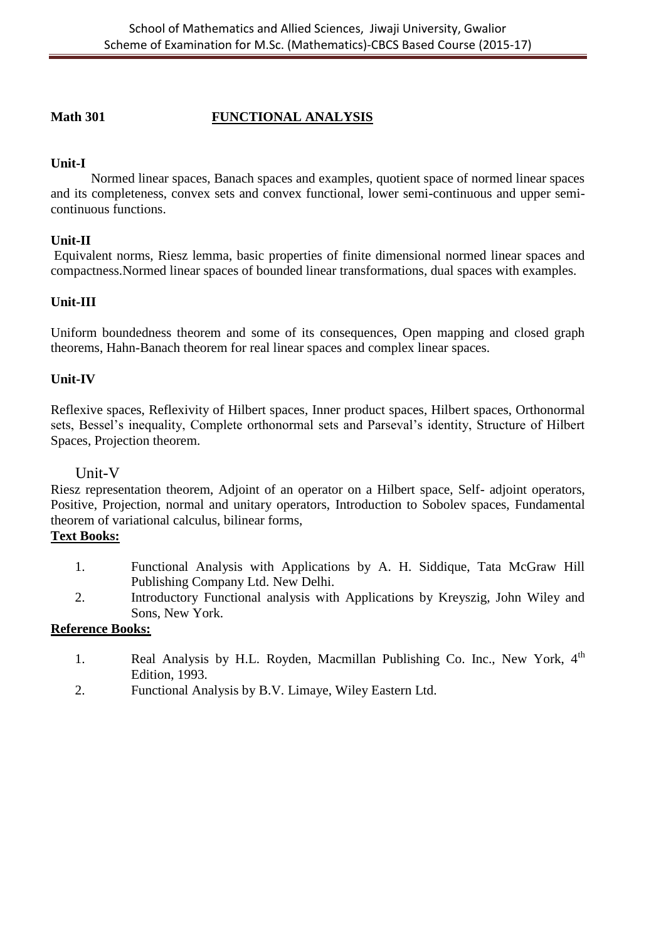## **Math 301 FUNCTIONAL ANALYSIS**

## **Unit-I**

Normed linear spaces, Banach spaces and examples, quotient space of normed linear spaces and its completeness, convex sets and convex functional, lower semi-continuous and upper semicontinuous functions.

## **Unit-II**

Equivalent norms, Riesz lemma, basic properties of finite dimensional normed linear spaces and compactness.Normed linear spaces of bounded linear transformations, dual spaces with examples.

## **Unit-III**

Uniform boundedness theorem and some of its consequences, Open mapping and closed graph theorems, Hahn-Banach theorem for real linear spaces and complex linear spaces.

## **Unit-IV**

Reflexive spaces, Reflexivity of Hilbert spaces, Inner product spaces, Hilbert spaces, Orthonormal sets, Bessel's inequality, Complete orthonormal sets and Parseval's identity, Structure of Hilbert Spaces, Projection theorem.

## Unit-V

Riesz representation theorem, Adjoint of an operator on a Hilbert space, Self- adjoint operators, Positive, Projection, normal and unitary operators, Introduction to Sobolev spaces, Fundamental theorem of variational calculus, bilinear forms,

## **Text Books:**

- 1. Functional Analysis with Applications by A. H. Siddique, Tata McGraw Hill Publishing Company Ltd. New Delhi.
- 2. Introductory Functional analysis with Applications by Kreyszig, John Wiley and Sons, New York.

- 1. Real Analysis by H.L. Royden, Macmillan Publishing Co. Inc., New York, 4<sup>th</sup> Edition, 1993.
- 2. Functional Analysis by B.V. Limaye, Wiley Eastern Ltd.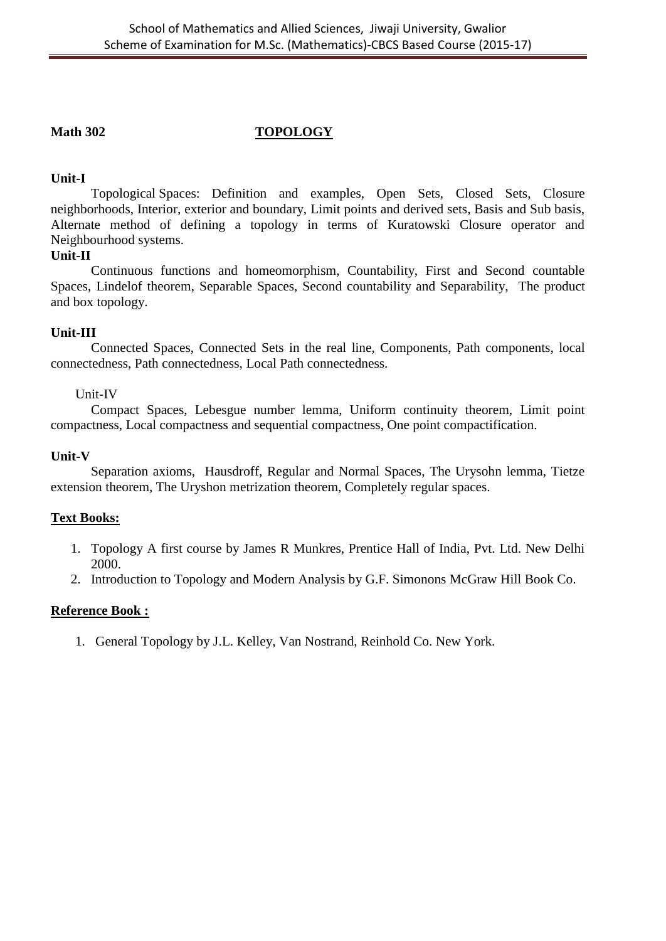## **Math 302 TOPOLOGY**

## **Unit-I**

Topological Spaces: Definition and examples, Open Sets, Closed Sets, Closure neighborhoods, Interior, exterior and boundary, Limit points and derived sets, Basis and Sub basis, Alternate method of defining a topology in terms of Kuratowski Closure operator and Neighbourhood systems.

## **Unit-II**

Continuous functions and homeomorphism, Countability, First and Second countable Spaces, Lindelof theorem, Separable Spaces, Second countability and Separability, The product and box topology.

## **Unit-III**

Connected Spaces, Connected Sets in the real line, Components, Path components, local connectedness, Path connectedness, Local Path connectedness.

## Unit-IV

Compact Spaces, Lebesgue number lemma, Uniform continuity theorem, Limit point compactness, Local compactness and sequential compactness, One point compactification.

## **Unit-V**

Separation axioms, Hausdroff, Regular and Normal Spaces, The Urysohn lemma, Tietze extension theorem, The Uryshon metrization theorem, Completely regular spaces.

## **Text Books:**

- 1. Topology A first course by James R Munkres, Prentice Hall of India, Pvt. Ltd. New Delhi 2000.
- 2. Introduction to Topology and Modern Analysis by G.F. Simonons McGraw Hill Book Co.

## **Reference Book :**

1. General Topology by J.L. Kelley, Van Nostrand, Reinhold Co. New York.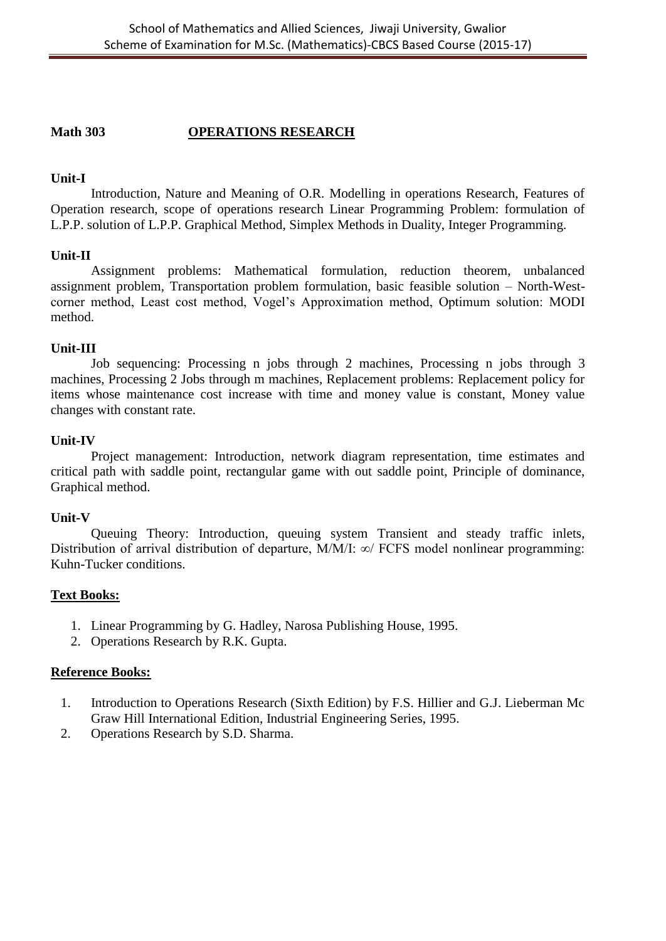## **Math 303 OPERATIONS RESEARCH**

### **Unit-I**

Introduction, Nature and Meaning of O.R. Modelling in operations Research, Features of Operation research, scope of operations research Linear Programming Problem: formulation of L.P.P. solution of L.P.P. Graphical Method, Simplex Methods in Duality, Integer Programming.

## **Unit-II**

Assignment problems: Mathematical formulation, reduction theorem, unbalanced assignment problem, Transportation problem formulation, basic feasible solution – North-Westcorner method, Least cost method, Vogel's Approximation method, Optimum solution: MODI method.

## **Unit-III**

Job sequencing: Processing n jobs through 2 machines, Processing n jobs through 3 machines, Processing 2 Jobs through m machines, Replacement problems: Replacement policy for items whose maintenance cost increase with time and money value is constant, Money value changes with constant rate.

#### **Unit-IV**

Project management: Introduction, network diagram representation, time estimates and critical path with saddle point, rectangular game with out saddle point, Principle of dominance, Graphical method.

#### **Unit-V**

Queuing Theory: Introduction, queuing system Transient and steady traffic inlets, Distribution of arrival distribution of departure, M/M/I: ∞/ FCFS model nonlinear programming: Kuhn-Tucker conditions.

## **Text Books:**

- 1. Linear Programming by G. Hadley, Narosa Publishing House, 1995.
- 2. Operations Research by R.K. Gupta.

- 1. Introduction to Operations Research (Sixth Edition) by F.S. Hillier and G.J. Lieberman Mc Graw Hill International Edition, Industrial Engineering Series, 1995.
- 2. Operations Research by S.D. Sharma.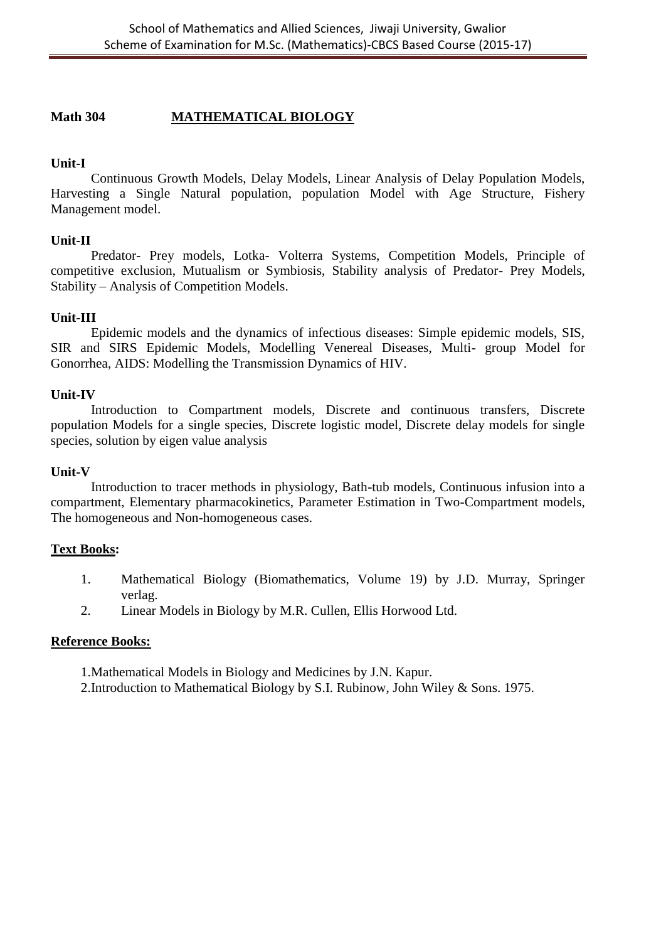## **Math 304 MATHEMATICAL BIOLOGY**

### **Unit-I**

Continuous Growth Models, Delay Models, Linear Analysis of Delay Population Models, Harvesting a Single Natural population, population Model with Age Structure, Fishery Management model.

#### **Unit-II**

Predator- Prey models, Lotka- Volterra Systems, Competition Models, Principle of competitive exclusion, Mutualism or Symbiosis, Stability analysis of Predator- Prey Models, Stability – Analysis of Competition Models.

## **Unit-III**

Epidemic models and the dynamics of infectious diseases: Simple epidemic models, SIS, SIR and SIRS Epidemic Models, Modelling Venereal Diseases, Multi- group Model for Gonorrhea, AIDS: Modelling the Transmission Dynamics of HIV.

#### **Unit-IV**

Introduction to Compartment models, Discrete and continuous transfers, Discrete population Models for a single species, Discrete logistic model, Discrete delay models for single species, solution by eigen value analysis

#### **Unit-V**

Introduction to tracer methods in physiology, Bath-tub models, Continuous infusion into a compartment, Elementary pharmacokinetics, Parameter Estimation in Two-Compartment models, The homogeneous and Non-homogeneous cases.

#### **Text Books:**

- 1. Mathematical Biology (Biomathematics, Volume 19) by J.D. Murray, Springer verlag.
- 2. Linear Models in Biology by M.R. Cullen, Ellis Horwood Ltd.

- 1.Mathematical Models in Biology and Medicines by J.N. Kapur.
- 2.Introduction to Mathematical Biology by S.I. Rubinow, John Wiley & Sons. 1975.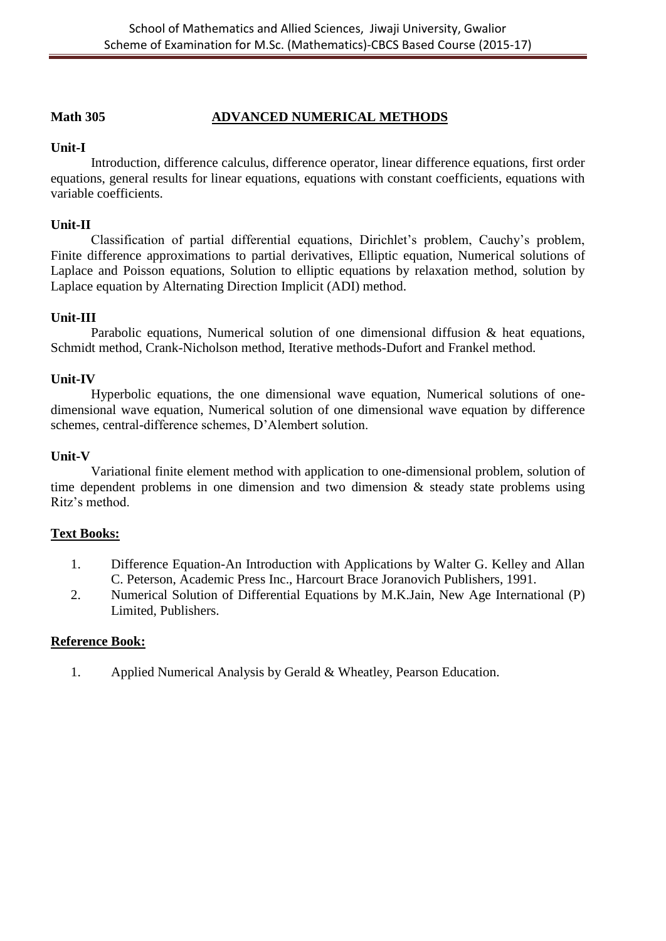## **Math 305 ADVANCED NUMERICAL METHODS**

## **Unit-I**

Introduction, difference calculus, difference operator, linear difference equations, first order equations, general results for linear equations, equations with constant coefficients, equations with variable coefficients.

### **Unit-II**

Classification of partial differential equations, Dirichlet's problem, Cauchy's problem, Finite difference approximations to partial derivatives, Elliptic equation, Numerical solutions of Laplace and Poisson equations, Solution to elliptic equations by relaxation method, solution by Laplace equation by Alternating Direction Implicit (ADI) method.

## **Unit-III**

Parabolic equations, Numerical solution of one dimensional diffusion & heat equations, Schmidt method, Crank-Nicholson method, Iterative methods-Dufort and Frankel method.

#### **Unit-IV**

Hyperbolic equations, the one dimensional wave equation, Numerical solutions of onedimensional wave equation, Numerical solution of one dimensional wave equation by difference schemes, central-difference schemes, D'Alembert solution.

#### **Unit-V**

Variational finite element method with application to one-dimensional problem, solution of time dependent problems in one dimension and two dimension & steady state problems using Ritz's method.

#### **Text Books:**

- 1. Difference Equation-An Introduction with Applications by Walter G. Kelley and Allan C. Peterson, Academic Press Inc., Harcourt Brace Joranovich Publishers, 1991.
- 2. Numerical Solution of Differential Equations by M.K.Jain, New Age International (P) Limited, Publishers.

### **Reference Book:**

1. Applied Numerical Analysis by Gerald & Wheatley, Pearson Education.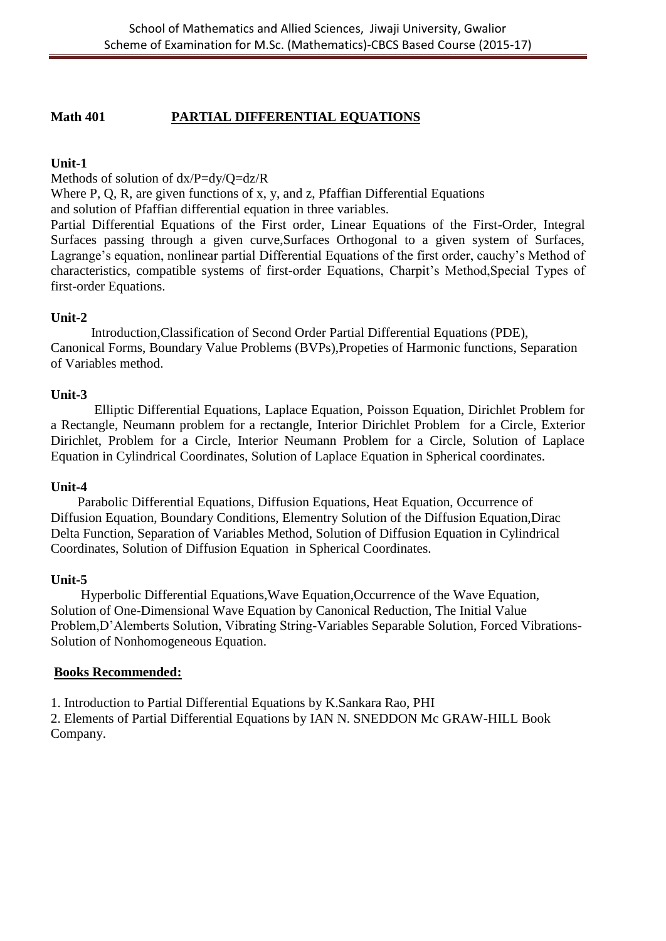## **Math 401 PARTIAL DIFFERENTIAL EQUATIONS**

## **Unit-1**

Methods of solution of dx/P=dy/Q=dz/R

Where P, Q, R, are given functions of x, y, and z, Pfaffian Differential Equations and solution of Pfaffian differential equation in three variables.

Partial Differential Equations of the First order, Linear Equations of the First-Order, Integral Surfaces passing through a given curve,Surfaces Orthogonal to a given system of Surfaces, Lagrange's equation, nonlinear partial Differential Equations of the first order, cauchy's Method of characteristics, compatible systems of first-order Equations, Charpit's Method,Special Types of first-order Equations.

## **Unit-2**

 Introduction,Classification of Second Order Partial Differential Equations (PDE), Canonical Forms, Boundary Value Problems (BVPs),Propeties of Harmonic functions, Separation of Variables method.

## **Unit-3**

Elliptic Differential Equations, Laplace Equation, Poisson Equation, Dirichlet Problem for a Rectangle, Neumann problem for a rectangle, Interior Dirichlet Problem for a Circle, Exterior Dirichlet, Problem for a Circle, Interior Neumann Problem for a Circle, Solution of Laplace Equation in Cylindrical Coordinates, Solution of Laplace Equation in Spherical coordinates.

#### **Unit-4**

 Parabolic Differential Equations, Diffusion Equations, Heat Equation, Occurrence of Diffusion Equation, Boundary Conditions, Elementry Solution of the Diffusion Equation,Dirac Delta Function, Separation of Variables Method, Solution of Diffusion Equation in Cylindrical Coordinates, Solution of Diffusion Equation in Spherical Coordinates.

## **Unit-5**

 Hyperbolic Differential Equations,Wave Equation,Occurrence of the Wave Equation, Solution of One-Dimensional Wave Equation by Canonical Reduction, The Initial Value Problem,D'Alemberts Solution, Vibrating String-Variables Separable Solution, Forced Vibrations-Solution of Nonhomogeneous Equation.

## **Books Recommended:**

1. Introduction to Partial Differential Equations by K.Sankara Rao, PHI

2. Elements of Partial Differential Equations by IAN N. SNEDDON Mc GRAW-HILL Book Company.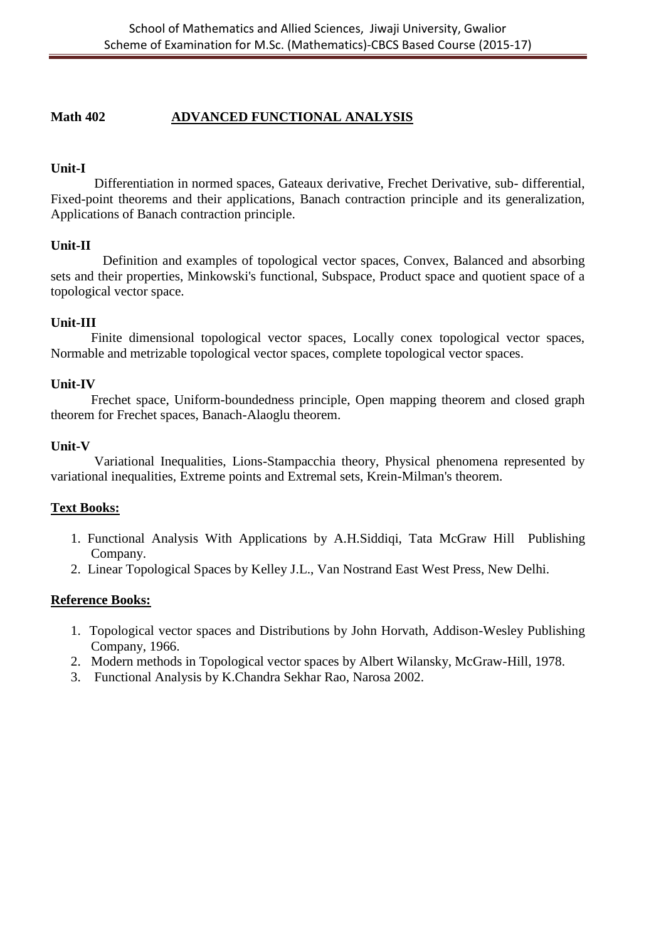## **Math 402 ADVANCED FUNCTIONAL ANALYSIS**

## **Unit-I**

Differentiation in normed spaces, Gateaux derivative, Frechet Derivative, sub- differential, Fixed-point theorems and their applications, Banach contraction principle and its generalization, Applications of Banach contraction principle.

## **Unit-II**

 Definition and examples of topological vector spaces, Convex, Balanced and absorbing sets and their properties, Minkowski's functional, Subspace, Product space and quotient space of a topological vector space.

## **Unit-III**

Finite dimensional topological vector spaces, Locally conex topological vector spaces, Normable and metrizable topological vector spaces, complete topological vector spaces.

## **Unit-IV**

Frechet space, Uniform-boundedness principle, Open mapping theorem and closed graph theorem for Frechet spaces, Banach-Alaoglu theorem.

## **Unit-V**

Variational Inequalities, Lions-Stampacchia theory, Physical phenomena represented by variational inequalities, Extreme points and Extremal sets, Krein-Milman's theorem.

## **Text Books:**

- 1. Functional Analysis With Applications by A.H.Siddiqi, Tata McGraw Hill Publishing Company.
- 2. Linear Topological Spaces by Kelley J.L., Van Nostrand East West Press, New Delhi.

- 1. Topological vector spaces and Distributions by John Horvath, Addison-Wesley Publishing Company, 1966.
- 2. Modern methods in Topological vector spaces by Albert Wilansky, McGraw-Hill, 1978.
- 3. Functional Analysis by K.Chandra Sekhar Rao, Narosa 2002.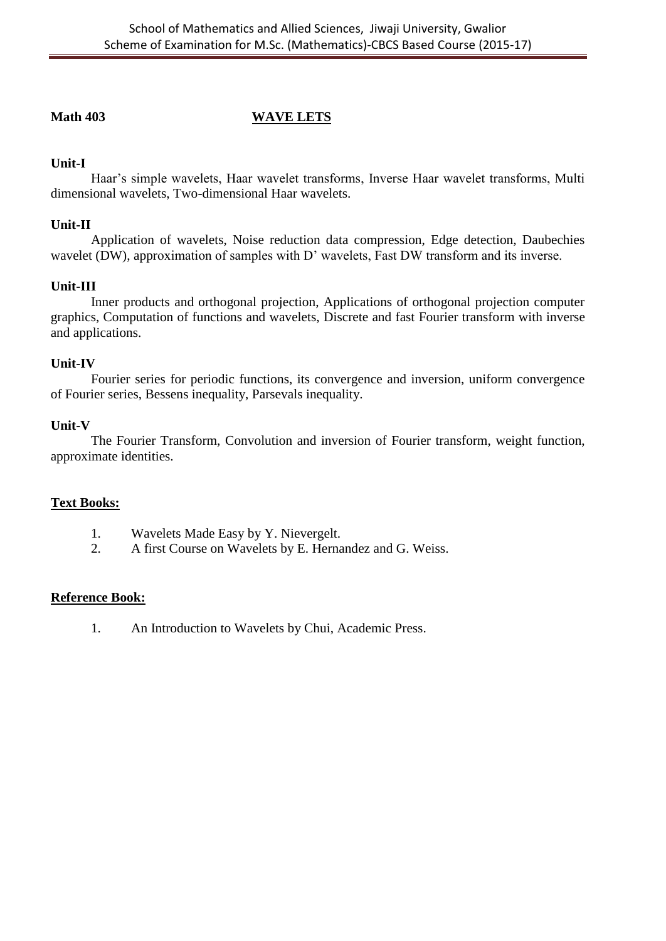## **Math 403 WAVE LETS**

## **Unit-I**

Haar's simple wavelets, Haar wavelet transforms, Inverse Haar wavelet transforms, Multi dimensional wavelets, Two-dimensional Haar wavelets.

## **Unit-II**

Application of wavelets, Noise reduction data compression, Edge detection, Daubechies wavelet (DW), approximation of samples with D' wavelets, Fast DW transform and its inverse.

## **Unit-III**

Inner products and orthogonal projection, Applications of orthogonal projection computer graphics, Computation of functions and wavelets, Discrete and fast Fourier transform with inverse and applications.

## **Unit-IV**

Fourier series for periodic functions, its convergence and inversion, uniform convergence of Fourier series, Bessens inequality, Parsevals inequality.

## **Unit-V**

The Fourier Transform, Convolution and inversion of Fourier transform, weight function, approximate identities.

## **Text Books:**

- 1. Wavelets Made Easy by Y. Nievergelt.
- 2. A first Course on Wavelets by E. Hernandez and G. Weiss.

## **Reference Book:**

1. An Introduction to Wavelets by Chui, Academic Press.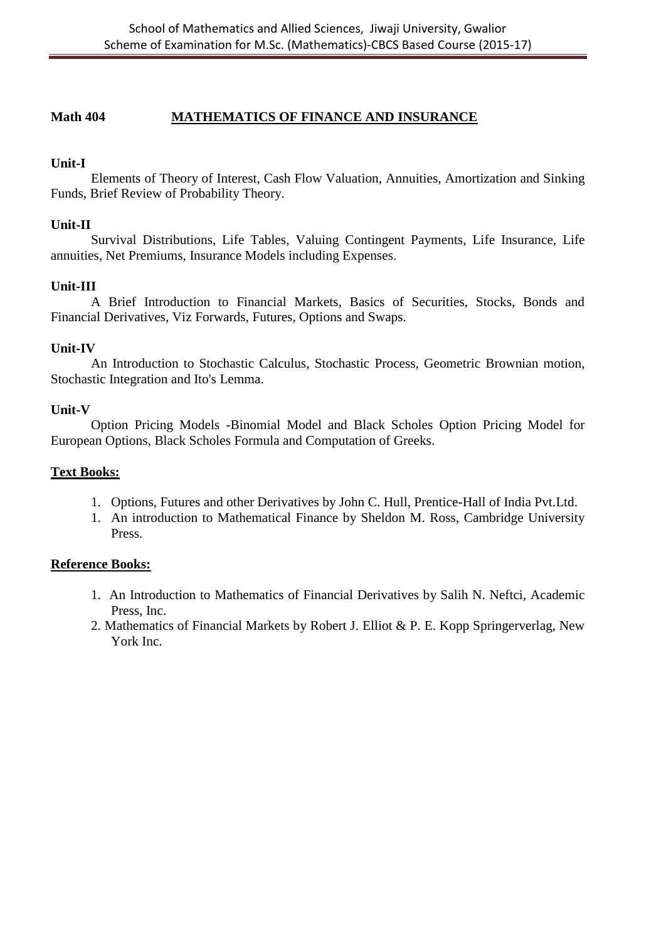## **Math 404 MATHEMATICS OF FINANCE AND INSURANCE**

## **Unit-I**

Elements of Theory of Interest, Cash Flow Valuation, Annuities, Amortization and Sinking Funds, Brief Review of Probability Theory.

### **Unit-II**

Survival Distributions, Life Tables, Valuing Contingent Payments, Life Insurance, Life annuities, Net Premiums, Insurance Models including Expenses.

## **Unit-III**

A Brief Introduction to Financial Markets, Basics of Securities, Stocks, Bonds and Financial Derivatives, Viz Forwards, Futures, Options and Swaps.

## **Unit-IV**

An Introduction to Stochastic Calculus, Stochastic Process, Geometric Brownian motion, Stochastic Integration and Ito's Lemma.

## **Unit-V**

Option Pricing Models -Binomial Model and Black Scholes Option Pricing Model for European Options, Black Scholes Formula and Computation of Greeks.

### **Text Books:**

- 1. Options, Futures and other Derivatives by John C. Hull, Prentice-Hall of India Pvt.Ltd.
- 1. An introduction to Mathematical Finance by Sheldon M. Ross, Cambridge University Press.

- 1. An Introduction to Mathematics of Financial Derivatives by Salih N. Neftci, Academic Press, Inc.
- 2. Mathematics of Financial Markets by Robert J. Elliot & P. E. Kopp Springerverlag, New York Inc.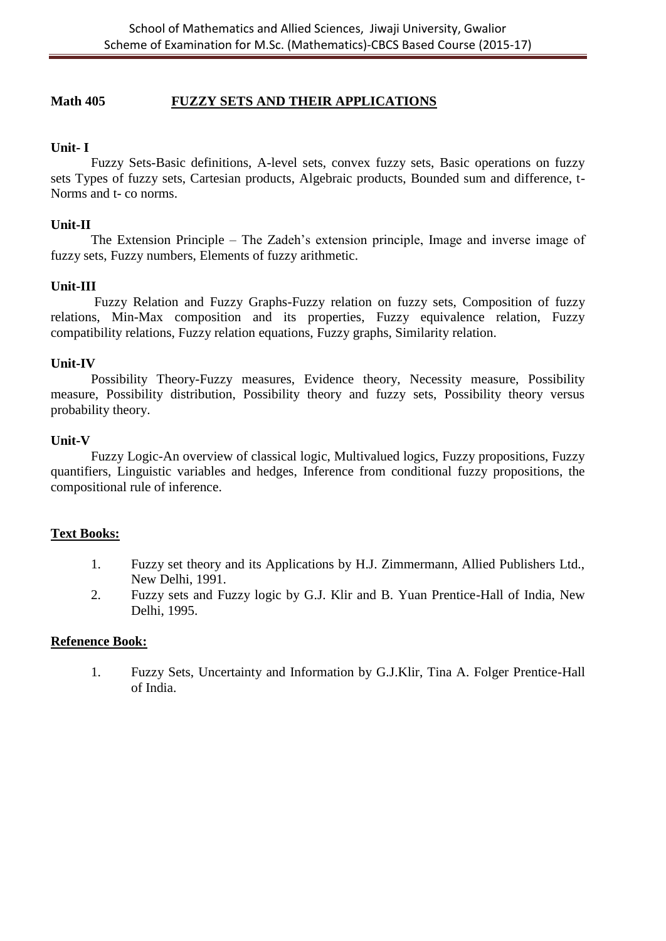## **Math 405 FUZZY SETS AND THEIR APPLICATIONS**

### **Unit- I**

Fuzzy Sets-Basic definitions, A-level sets, convex fuzzy sets, Basic operations on fuzzy sets Types of fuzzy sets, Cartesian products, Algebraic products, Bounded sum and difference, t-Norms and t- co norms.

#### **Unit-II**

The Extension Principle – The Zadeh's extension principle, Image and inverse image of fuzzy sets, Fuzzy numbers, Elements of fuzzy arithmetic.

#### **Unit-III**

Fuzzy Relation and Fuzzy Graphs-Fuzzy relation on fuzzy sets, Composition of fuzzy relations, Min-Max composition and its properties, Fuzzy equivalence relation, Fuzzy compatibility relations, Fuzzy relation equations, Fuzzy graphs, Similarity relation.

#### **Unit-IV**

Possibility Theory-Fuzzy measures, Evidence theory, Necessity measure, Possibility measure, Possibility distribution, Possibility theory and fuzzy sets, Possibility theory versus probability theory.

#### **Unit-V**

Fuzzy Logic-An overview of classical logic, Multivalued logics, Fuzzy propositions, Fuzzy quantifiers, Linguistic variables and hedges, Inference from conditional fuzzy propositions, the compositional rule of inference.

#### **Text Books:**

- 1. Fuzzy set theory and its Applications by H.J. Zimmermann, Allied Publishers Ltd., New Delhi, 1991.
- 2. Fuzzy sets and Fuzzy logic by G.J. Klir and B. Yuan Prentice-Hall of India, New Delhi, 1995.

### **Refenence Book:**

1. Fuzzy Sets, Uncertainty and Information by G.J.Klir, Tina A. Folger Prentice-Hall of India.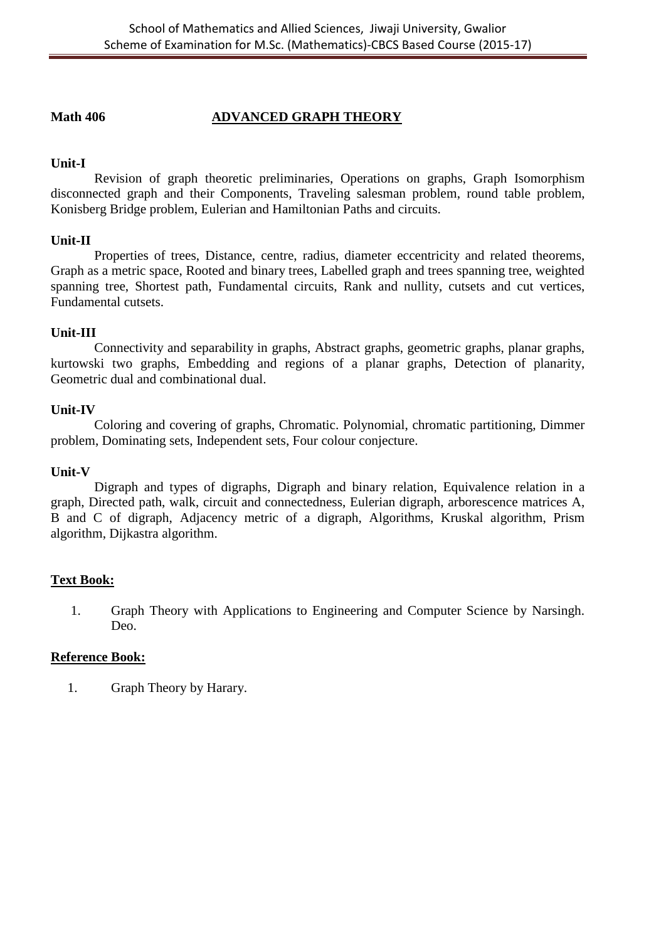## **Math 406 ADVANCED GRAPH THEORY**

## **Unit-I**

Revision of graph theoretic preliminaries, Operations on graphs, Graph Isomorphism disconnected graph and their Components, Traveling salesman problem, round table problem, Konisberg Bridge problem, Eulerian and Hamiltonian Paths and circuits.

## **Unit-II**

Properties of trees, Distance, centre, radius, diameter eccentricity and related theorems, Graph as a metric space, Rooted and binary trees, Labelled graph and trees spanning tree, weighted spanning tree, Shortest path, Fundamental circuits, Rank and nullity, cutsets and cut vertices, Fundamental cutsets.

## **Unit-III**

Connectivity and separability in graphs, Abstract graphs, geometric graphs, planar graphs, kurtowski two graphs, Embedding and regions of a planar graphs, Detection of planarity, Geometric dual and combinational dual.

## **Unit-IV**

Coloring and covering of graphs, Chromatic. Polynomial, chromatic partitioning, Dimmer problem, Dominating sets, Independent sets, Four colour conjecture.

#### **Unit-V**

Digraph and types of digraphs, Digraph and binary relation, Equivalence relation in a graph, Directed path, walk, circuit and connectedness, Eulerian digraph, arborescence matrices A, B and C of digraph, Adjacency metric of a digraph, Algorithms, Kruskal algorithm, Prism algorithm, Dijkastra algorithm.

## **Text Book:**

1. Graph Theory with Applications to Engineering and Computer Science by Narsingh. Deo.

#### **Reference Book:**

1. Graph Theory by Harary.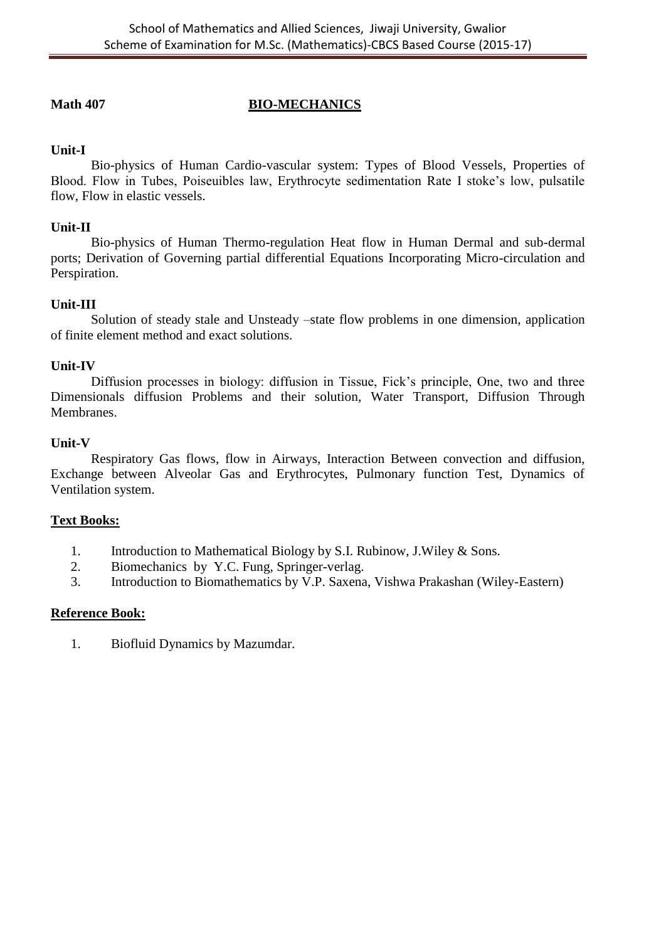## **Math 407 BIO-MECHANICS**

## **Unit-I**

Bio-physics of Human Cardio-vascular system: Types of Blood Vessels, Properties of Blood. Flow in Tubes, Poiseuibles law, Erythrocyte sedimentation Rate I stoke's low, pulsatile flow, Flow in elastic vessels.

## **Unit-II**

Bio-physics of Human Thermo-regulation Heat flow in Human Dermal and sub-dermal ports; Derivation of Governing partial differential Equations Incorporating Micro-circulation and Perspiration.

## **Unit-III**

Solution of steady stale and Unsteady –state flow problems in one dimension, application of finite element method and exact solutions.

### **Unit-IV**

Diffusion processes in biology: diffusion in Tissue, Fick's principle, One, two and three Dimensionals diffusion Problems and their solution, Water Transport, Diffusion Through Membranes.

## **Unit-V**

Respiratory Gas flows, flow in Airways, Interaction Between convection and diffusion, Exchange between Alveolar Gas and Erythrocytes, Pulmonary function Test, Dynamics of Ventilation system.

## **Text Books:**

- 1. Introduction to Mathematical Biology by S.I. Rubinow, J.Wiley & Sons.
- 2. Biomechanics by Y.C. Fung, Springer-verlag.
- 3. Introduction to Biomathematics by V.P. Saxena, Vishwa Prakashan (Wiley-Eastern)

#### **Reference Book:**

1. Biofluid Dynamics by Mazumdar.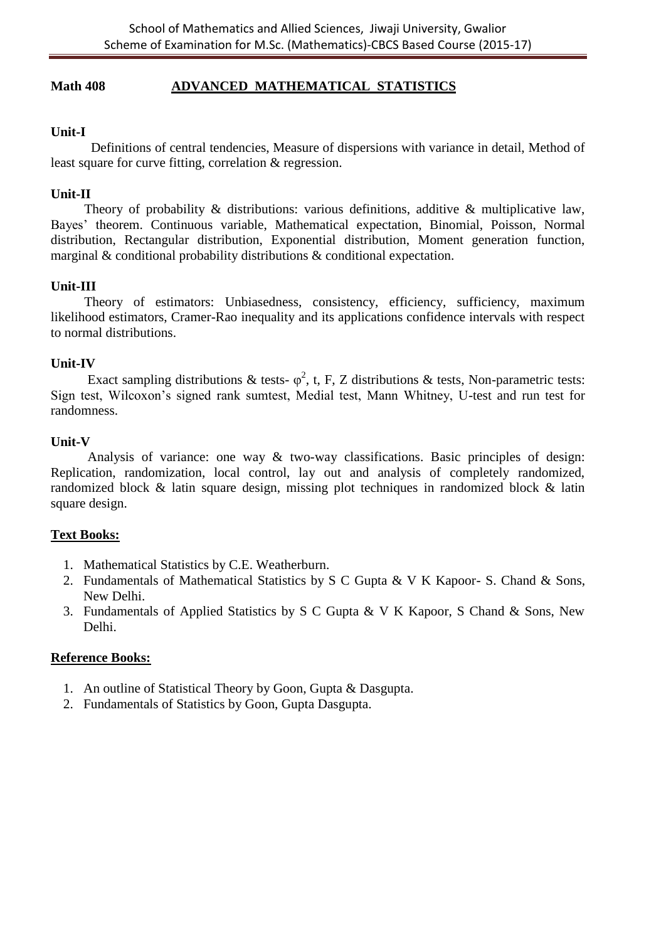## **Math 408 ADVANCED MATHEMATICAL STATISTICS**

## **Unit-I**

 Definitions of central tendencies, Measure of dispersions with variance in detail, Method of least square for curve fitting, correlation & regression.

### **Unit-II**

Theory of probability & distributions: various definitions, additive & multiplicative law, Bayes' theorem. Continuous variable, Mathematical expectation, Binomial, Poisson, Normal distribution, Rectangular distribution, Exponential distribution, Moment generation function, marginal & conditional probability distributions & conditional expectation.

## **Unit-III**

Theory of estimators: Unbiasedness, consistency, efficiency, sufficiency, maximum likelihood estimators, Cramer-Rao inequality and its applications confidence intervals with respect to normal distributions.

#### **Unit-IV**

Exact sampling distributions & tests-  $\varphi^2$ , t, F, Z distributions & tests, Non-parametric tests: Sign test, Wilcoxon's signed rank sumtest, Medial test, Mann Whitney, U-test and run test for randomness.

## **Unit-V**

 Analysis of variance: one way & two-way classifications. Basic principles of design: Replication, randomization, local control, lay out and analysis of completely randomized, randomized block & latin square design, missing plot techniques in randomized block & latin square design.

## **Text Books:**

- 1. Mathematical Statistics by C.E. Weatherburn.
- 2. Fundamentals of Mathematical Statistics by S C Gupta & V K Kapoor- S. Chand & Sons, New Delhi.
- 3. Fundamentals of Applied Statistics by S C Gupta & V K Kapoor, S Chand & Sons, New Delhi.

- 1. An outline of Statistical Theory by Goon, Gupta & Dasgupta.
- 2. Fundamentals of Statistics by Goon, Gupta Dasgupta.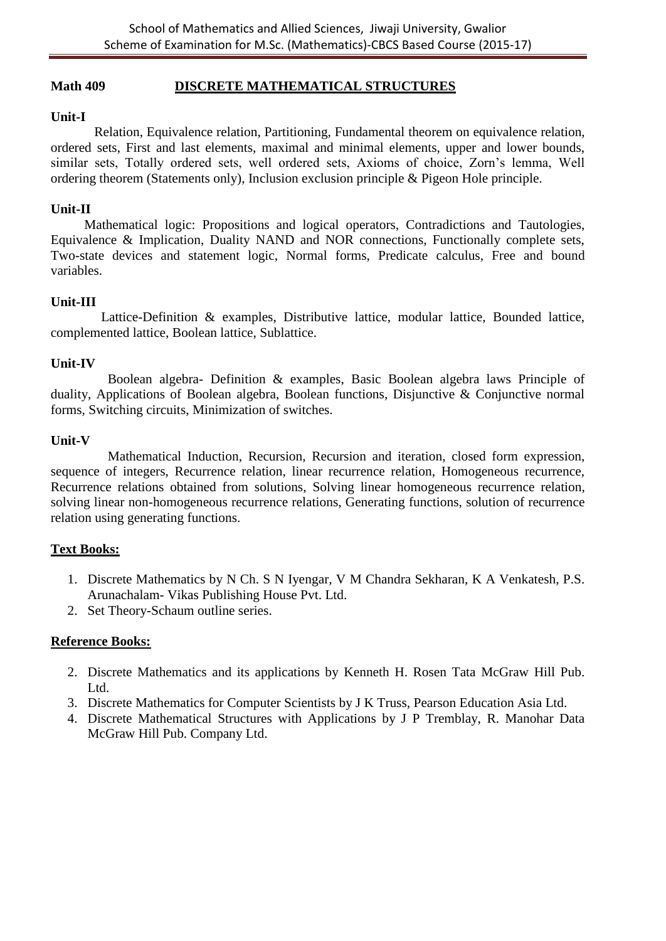#### **Math 409 DISCRETE MATHEMATICAL STRUCTURES**

#### **Unit-I**

Relation, Equivalence relation, Partitioning, Fundamental theorem on equivalence relation, ordered sets, First and last elements, maximal and minimal elements, upper and lower bounds, similar sets, Totally ordered sets, well ordered sets, Axioms of choice, Zorn's lemma, Well ordering theorem (Statements only), Inclusion exclusion principle & Pigeon Hole principle.

#### **Unit-II**

 Mathematical logic: Propositions and logical operators, Contradictions and Tautologies, Equivalence & Implication, Duality NAND and NOR connections, Functionally complete sets, Two-state devices and statement logic, Normal forms, Predicate calculus, Free and bound variables.

#### **Unit-III**

 Lattice-Definition & examples, Distributive lattice, modular lattice, Bounded lattice, complemented lattice, Boolean lattice, Sublattice.

#### **Unit-IV**

 Boolean algebra- Definition & examples, Basic Boolean algebra laws Principle of duality, Applications of Boolean algebra, Boolean functions, Disjunctive & Conjunctive normal forms, Switching circuits, Minimization of switches.

#### **Unit-V**

 Mathematical Induction, Recursion, Recursion and iteration, closed form expression, sequence of integers, Recurrence relation, linear recurrence relation, Homogeneous recurrence, Recurrence relations obtained from solutions, Solving linear homogeneous recurrence relation, solving linear non-homogeneous recurrence relations, Generating functions, solution of recurrence relation using generating functions.

#### **Text Books:**

- 1. Discrete Mathematics by N Ch. S N Iyengar, V M Chandra Sekharan, K A Venkatesh, P.S. Arunachalam- Vikas Publishing House Pvt. Ltd.
- 2. Set Theory-Schaum outline series.

- 2. Discrete Mathematics and its applications by Kenneth H. Rosen Tata McGraw Hill Pub. Ltd.
- 3. Discrete Mathematics for Computer Scientists by J K Truss, Pearson Education Asia Ltd.
- 4. Discrete Mathematical Structures with Applications by J P Tremblay, R. Manohar Data McGraw Hill Pub. Company Ltd.